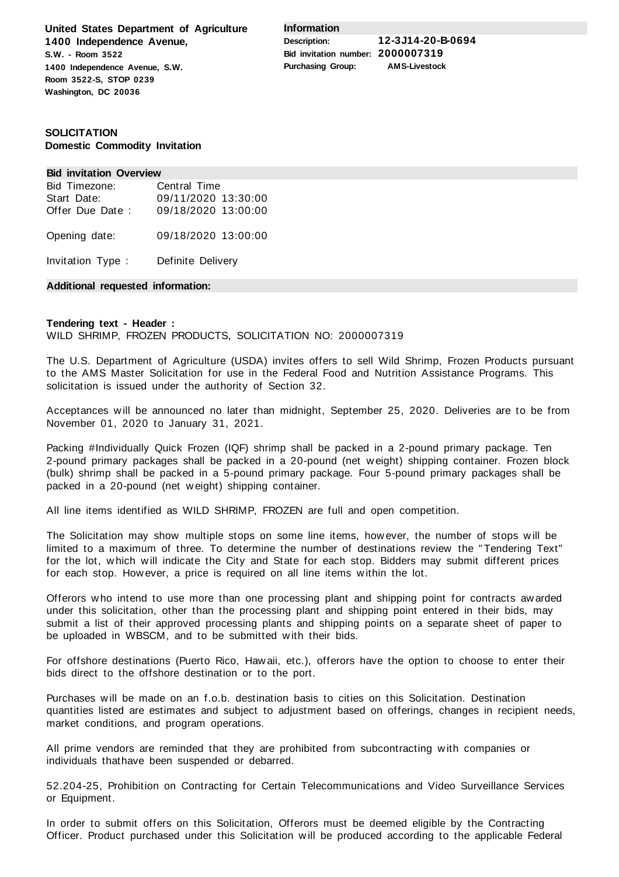**United States Department of Agriculture 1400 Independence Avenue, S.W. - Room 3522 1400 Independence Avenue, S.W. Room 3522-S, STOP 0239 Washington, DC 20036**

**Information**

**Description: 12-3J14-20-B-0694 Bid invitation number: 2000007319 Purchasing Group: AMS-Livestock**

## **SOLICITATION Domestic Commodity Invitation**

#### **Bid invitation Overview**

| Bid Timezone:   | Central Time        |  |  |  |  |  |
|-----------------|---------------------|--|--|--|--|--|
| Start Date:     | 09/11/2020 13:30:00 |  |  |  |  |  |
| Offer Due Date: | 09/18/2020 13:00:00 |  |  |  |  |  |
| Opening date:   | 09/18/2020 13:00:00 |  |  |  |  |  |

Invitation Type : Definite Delivery

### **Additional requested information:**

### **Tendering text - Header :** WILD SHRIMP, FROZEN PRODUCTS, SOLICITATION NO: 2000007319

The U.S. Department of Agriculture (USDA) invites offers to sell Wild Shrimp, Frozen Products pursuant to the AMS Master Solicitation for use in the Federal Food and Nutrition Assistance Programs. This solicitation is issued under the authority of Section 32.

Acceptances will be announced no later than midnight, September 25, 2020. Deliveries are to be from November 01, 2020 to January 31, 2021.

Packing #Individually Quick Frozen (IQF) shrimp shall be packed in a 2-pound primary package. Ten 2-pound primary packages shall be packed in a 20-pound (net weight) shipping container. Frozen block (bulk) shrimp shall be packed in a 5-pound primary package. Four 5-pound primary packages shall be packed in a 20-pound (net weight) shipping container.

All line items identified as WILD SHRIMP, FROZEN are full and open competition.

The Solicitation may show multiple stops on some line items, however, the number of stops will be limited to a maximum of three. To determine the number of destinations review the "Tendering Text" for the lot, which will indicate the City and State for each stop. Bidders may submit different prices for each stop. However, a price is required on all line items within the lot.

Offerors who intend to use more than one processing plant and shipping point for contracts awarded under this solicitation, other than the processing plant and shipping point entered in their bids, may submit a list of their approved processing plants and shipping points on a separate sheet of paper to be uploaded in WBSCM, and to be submitted with their bids.

For offshore destinations (Puerto Rico, Hawaii, etc.), offerors have the option to choose to enter their bids direct to the offshore destination or to the port.

Purchases will be made on an f.o.b. destination basis to cities on this Solicitation. Destination quantities listed are estimates and subject to adjustment based on offerings, changes in recipient needs, market conditions, and program operations.

All prime vendors are reminded that they are prohibited from subcontracting with companies or individuals thathave been suspended or debarred.

52.204-25, Prohibition on Contracting for Certain Telecommunications and Video Surveillance Services or Equipment.

In order to submit offers on this Solicitation, Offerors must be deemed eligible by the Contracting Officer. Product purchased under this Solicitation will be produced according to the applicable Federal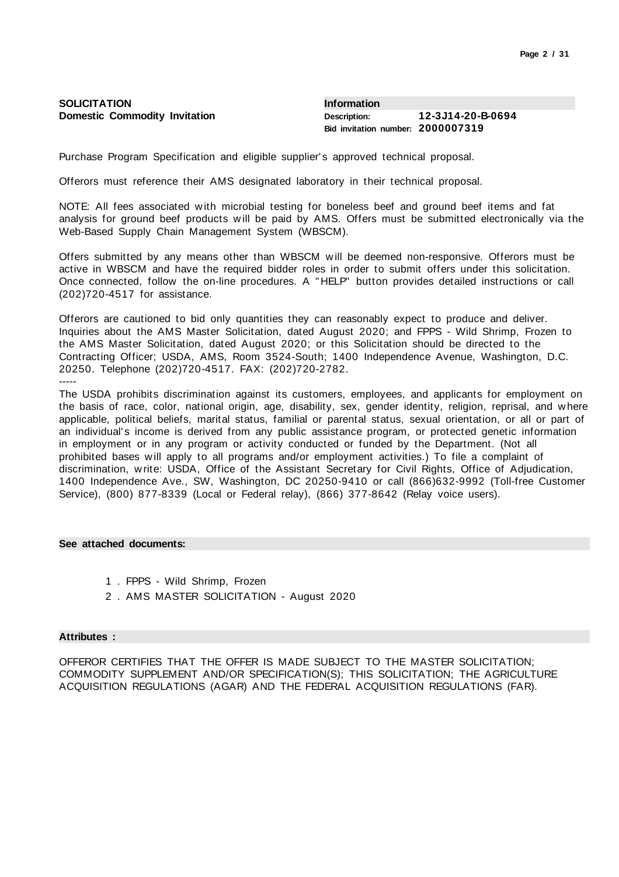| <b>SOLICITATION</b>                  | Information                       |                   |
|--------------------------------------|-----------------------------------|-------------------|
| <b>Domestic Commodity Invitation</b> | Description:                      | 12-3J14-20-B-0694 |
|                                      | Bid invitation number: 2000007319 |                   |

Purchase Program Specification and eligible supplier's approved technical proposal.

Offerors must reference their AMS designated laboratory in their technical proposal.

NOTE: All fees associated with microbial testing for boneless beef and ground beef items and fat analysis for ground beef products will be paid by AMS. Offers must be submitted electronically via the Web-Based Supply Chain Management System (WBSCM).

Offers submitted by any means other than WBSCM will be deemed non-responsive. Offerors must be active in WBSCM and have the required bidder roles in order to submit offers under this solicitation. Once connected, follow the on-line procedures. A "HELP" button provides detailed instructions or call (202)720-4517 for assistance.

Offerors are cautioned to bid only quantities they can reasonably expect to produce and deliver. Inquiries about the AMS Master Solicitation, dated August 2020; and FPPS - Wild Shrimp, Frozen to the AMS Master Solicitation, dated August 2020; or this Solicitation should be directed to the Contracting Officer; USDA, AMS, Room 3524-South; 1400 Independence Avenue, Washington, D.C. 20250. Telephone (202)720-4517. FAX: (202)720-2782. -----

The USDA prohibits discrimination against its customers, employees, and applicants for employment on the basis of race, color, national origin, age, disability, sex, gender identity, religion, reprisal, and where applicable, political beliefs, marital status, familial or parental status, sexual orientation, or all or part of an individual's income is derived from any public assistance program, or protected genetic information in employment or in any program or activity conducted or funded by the Department. (Not all prohibited bases will apply to all programs and/or employment activities.) To file a complaint of discrimination, write: USDA, Office of the Assistant Secretary for Civil Rights, Office of Adjudication, 1400 Independence Ave., SW, Washington, DC 20250-9410 or call (866)632-9992 (Toll-free Customer Service), (800) 877-8339 (Local or Federal relay), (866) 377-8642 (Relay voice users).

### **See attached documents:**

- 1 . FPPS Wild Shrimp, Frozen
- 2 . AMS MASTER SOLICITATION August 2020

#### **Attributes :**

OFFEROR CERTIFIES THAT THE OFFER IS MADE SUBJECT TO THE MASTER SOLICITATION; COMMODITY SUPPLEMENT AND/OR SPECIFICATION(S); THIS SOLICITATION; THE AGRICULTURE ACQUISITION REGULATIONS (AGAR) AND THE FEDERAL ACQUISITION REGULATIONS (FAR).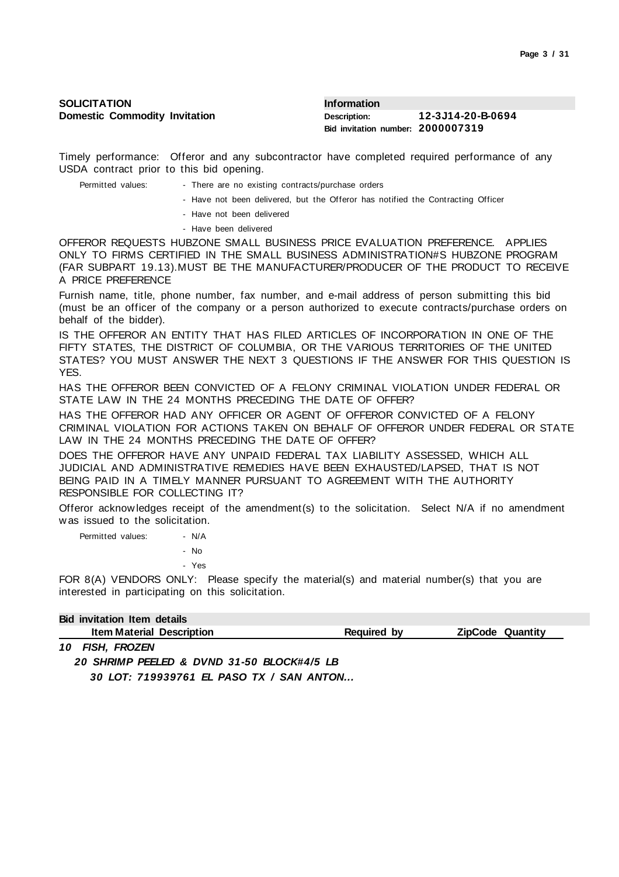| <b>SOLICITATION</b>                  | <b>Information</b>                |                   |
|--------------------------------------|-----------------------------------|-------------------|
| <b>Domestic Commodity Invitation</b> | Description:                      | 12-3J14-20-B-0694 |
|                                      | Bid invitation number: 2000007319 |                   |

Timely performance: Offeror and any subcontractor have completed required performance of any USDA contract prior to this bid opening.

| Permitted values: |  |  |  |  |  | - There are no existing contracts/purchase orders |  |
|-------------------|--|--|--|--|--|---------------------------------------------------|--|
|-------------------|--|--|--|--|--|---------------------------------------------------|--|

- Have not been delivered, but the Offeror has notified the Contracting Officer
- Have not been delivered
- Have been delivered

OFFEROR REQUESTS HUBZONE SMALL BUSINESS PRICE EVALUATION PREFERENCE. APPLIES ONLY TO FIRMS CERTIFIED IN THE SMALL BUSINESS ADMINISTRATION#S HUBZONE PROGRAM (FAR SUBPART 19.13).MUST BE THE MANUFACTURER/PRODUCER OF THE PRODUCT TO RECEIVE A PRICE PREFERENCE

Furnish name, title, phone number, fax number, and e-mail address of person submitting this bid (must be an officer of the company or a person authorized to execute contracts/purchase orders on behalf of the bidder).

IS THE OFFEROR AN ENTITY THAT HAS FILED ARTICLES OF INCORPORATION IN ONE OF THE FIFTY STATES, THE DISTRICT OF COLUMBIA, OR THE VARIOUS TERRITORIES OF THE UNITED STATES? YOU MUST ANSWER THE NEXT 3 QUESTIONS IF THE ANSWER FOR THIS QUESTION IS YES.

HAS THE OFFEROR BEEN CONVICTED OF A FELONY CRIMINAL VIOLATION UNDER FEDERAL OR STATE LAW IN THE 24 MONTHS PRECEDING THE DATE OF OFFER?

HAS THE OFFEROR HAD ANY OFFICER OR AGENT OF OFFEROR CONVICTED OF A FELONY CRIMINAL VIOLATION FOR ACTIONS TAKEN ON BEHALF OF OFFEROR UNDER FEDERAL OR STATE LAW IN THE 24 MONTHS PRECEDING THE DATE OF OFFER?

DOES THE OFFEROR HAVE ANY UNPAID FEDERAL TAX LIABILITY ASSESSED, WHICH ALL JUDICIAL AND ADMINISTRATIVE REMEDIES HAVE BEEN EXHAUSTED/LAPSED, THAT IS NOT BEING PAID IN A TIMELY MANNER PURSUANT TO AGREEMENT WITH THE AUTHORITY RESPONSIBLE FOR COLLECTING IT?

Offeror acknowledges receipt of the amendment(s) to the solicitation. Select N/A if no amendment was issued to the solicitation.

Permitted values: - N/A - No - Yes

FOR 8(A) VENDORS ONLY: Please specify the material(s) and material number(s) that you are interested in participating on this solicitation.

# **Bid invitation Item details**

| <b>Item Material Description</b><br>Quantity<br><b>ZinCode</b><br>Reguired<br>. bv |
|------------------------------------------------------------------------------------|
|------------------------------------------------------------------------------------|

*10 FISH, FROZEN 20 SHRIMP PEELED & DVND 31-50 BLOCK#4/5 LB 30 LOT: 719939761 EL PASO TX / SAN ANTON...*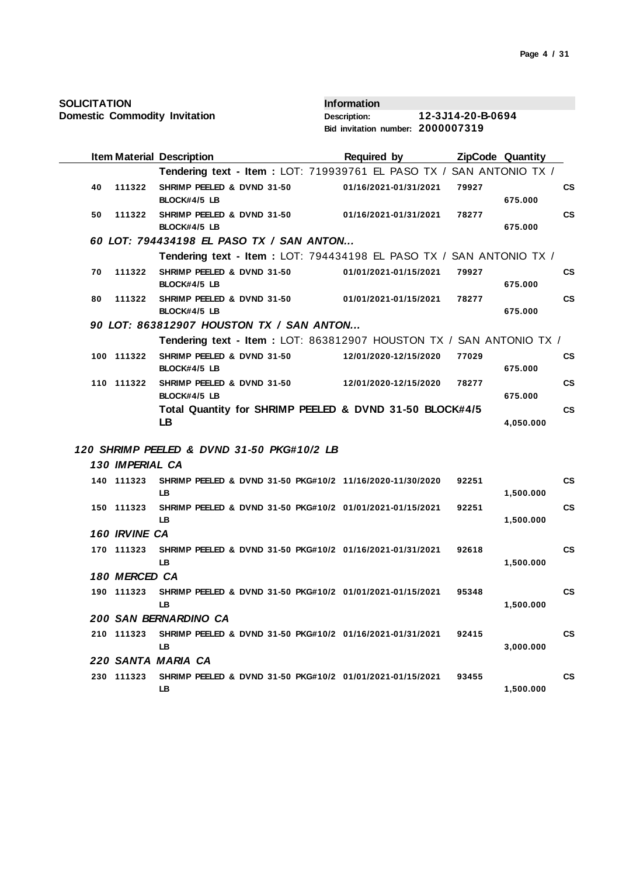| <b>SOLICITATION</b> |  |
|---------------------|--|
|---------------------|--|

|                 | <b>Item Material Description</b>                                       | <b>Required by</b>    | ZipCode Quantity |           |               |
|-----------------|------------------------------------------------------------------------|-----------------------|------------------|-----------|---------------|
|                 | Tendering text - Item : LOT: 719939761 EL PASO TX / SAN ANTONIO TX /   |                       |                  |           |               |
| 40<br>111322    | SHRIMP PEELED & DVND 31-50<br>BLOCK#4/5 LB                             | 01/16/2021-01/31/2021 | 79927            | 675.000   | CS            |
| 50<br>111322    | SHRIMP PEELED & DVND 31-50<br>BLOCK#4/5 LB                             | 01/16/2021-01/31/2021 | 78277            | 675.000   | <b>CS</b>     |
|                 | 60 LOT: 794434198 EL PASO TX / SAN ANTON                               |                       |                  |           |               |
|                 | Tendering text - Item: LOT: 794434198 EL PASO TX / SAN ANTONIO TX /    |                       |                  |           |               |
| 70<br>111322    | SHRIMP PEELED & DVND 31-50<br>BLOCK#4/5 LB                             | 01/01/2021-01/15/2021 | 79927            | 675.000   | <b>CS</b>     |
| 80<br>111322    | SHRIMP PEELED & DVND 31-50<br>BLOCK#4/5 LB                             | 01/01/2021-01/15/2021 | 78277            | 675.000   | <b>CS</b>     |
|                 | 90 LOT: 863812907 HOUSTON TX / SAN ANTON                               |                       |                  |           |               |
|                 | Tendering text - Item: LOT: 863812907 HOUSTON TX / SAN ANTONIO TX /    |                       |                  |           |               |
| 100 111322      | SHRIMP PEELED & DVND 31-50<br>BLOCK#4/5 LB                             | 12/01/2020-12/15/2020 | 77029            | 675.000   | <b>CS</b>     |
| 110 111322      | SHRIMP PEELED & DVND 31-50<br>BLOCK#4/5 LB                             | 12/01/2020-12/15/2020 | 78277            | 675.000   | $\mathsf{cs}$ |
|                 | Total Quantity for SHRIMP PEELED & DVND 31-50 BLOCK#4/5<br>LB          |                       |                  | 4,050.000 | $\mathsf{cs}$ |
|                 | 120 SHRIMP PEELED & DVND 31-50 PKG#10/2 LB                             |                       |                  |           |               |
| 130 IMPERIAL CA |                                                                        |                       |                  |           |               |
| 140 111323      | SHRIMP PEELED & DVND 31-50 PKG#10/2 11/16/2020-11/30/2020<br>LB.       |                       | 92251            | 1,500.000 | <b>CS</b>     |
| 150 111323      | SHRIMP PEELED & DVND 31-50 PKG#10/2 01/01/2021-01/15/2021<br>LB        |                       | 92251            | 1,500.000 | <b>CS</b>     |
| 160 IRVINE CA   |                                                                        |                       |                  |           |               |
| 170 111323      | SHRIMP PEELED & DVND 31-50 PKG#10/2 01/16/2021-01/31/2021<br>LB.       |                       | 92618            | 1,500.000 | <b>CS</b>     |
| 180 MERCED CA   |                                                                        |                       |                  |           |               |
| 190 111323      | SHRIMP PEELED & DVND 31-50 PKG#10/2 01/01/2021-01/15/2021<br><b>LB</b> |                       | 95348            | 1,500.000 | <b>CS</b>     |
|                 | 200 SAN BERNARDINO CA                                                  |                       |                  |           |               |
| 210 111323      | SHRIMP PEELED & DVND 31-50 PKG#10/2 01/16/2021-01/31/2021<br>LB        |                       | 92415            | 3,000.000 | <b>CS</b>     |
|                 | 220 SANTA MARIA CA                                                     |                       |                  |           |               |
| 230 111323      | SHRIMP PEELED & DVND 31-50 PKG#10/2 01/01/2021-01/15/2021<br>LB        |                       | 93455            | 1,500.000 | <b>CS</b>     |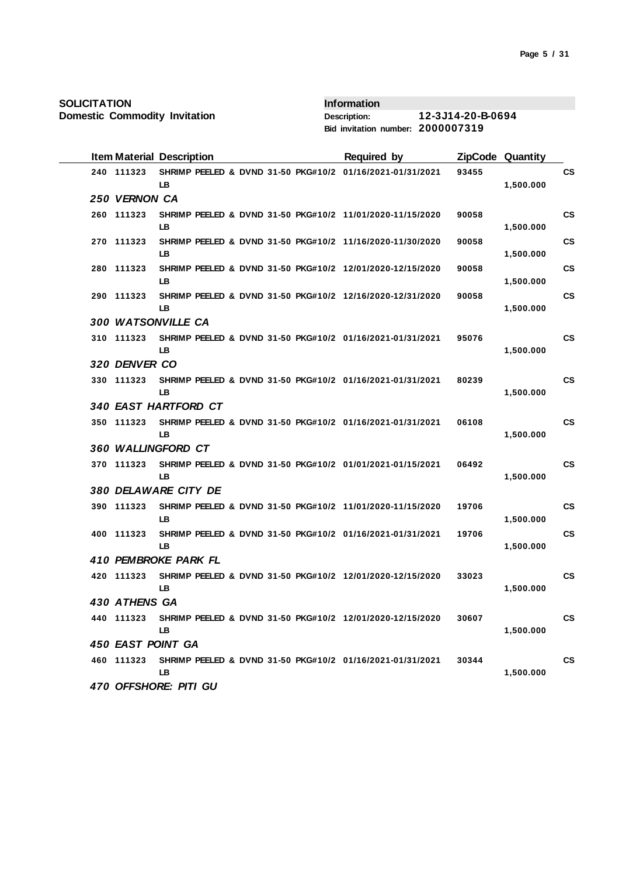**Domestic Commodity Invitation**

|  | <b>Item Material Description</b> |           |  |  | <b>Required by</b> |                                                           |       | <b>ZipCode Quantity</b> |           |
|--|----------------------------------|-----------|--|--|--------------------|-----------------------------------------------------------|-------|-------------------------|-----------|
|  | 240 111323                       | LB        |  |  |                    | SHRIMP PEELED & DVND 31-50 PKG#10/2 01/16/2021-01/31/2021 | 93455 | 1,500.000               | CS        |
|  | 250 VERNON CA                    |           |  |  |                    |                                                           |       |                         |           |
|  | 260 111323                       | <b>LB</b> |  |  |                    | SHRIMP PEELED & DVND 31-50 PKG#10/2 11/01/2020-11/15/2020 | 90058 | 1,500.000               | <b>CS</b> |
|  | 270 111323                       | LB.       |  |  |                    | SHRIMP PEELED & DVND 31-50 PKG#10/2 11/16/2020-11/30/2020 | 90058 | 1,500.000               | <b>CS</b> |
|  | 280 111323                       | LB.       |  |  |                    | SHRIMP PEELED & DVND 31-50 PKG#10/2 12/01/2020-12/15/2020 | 90058 | 1,500.000               | <b>CS</b> |
|  | 290 111323                       | LB.       |  |  |                    | SHRIMP PEELED & DVND 31-50 PKG#10/2 12/16/2020-12/31/2020 | 90058 | 1,500.000               | <b>CS</b> |
|  | 300 WATSONVILLE CA               |           |  |  |                    |                                                           |       |                         |           |
|  | 310 111323                       | LB.       |  |  |                    | SHRIMP PEELED & DVND 31-50 PKG#10/2 01/16/2021-01/31/2021 | 95076 | 1,500.000               | <b>CS</b> |
|  | 320 DENVER CO                    |           |  |  |                    |                                                           |       |                         |           |
|  | 330 111323                       | LB        |  |  |                    | SHRIMP PEELED & DVND 31-50 PKG#10/2 01/16/2021-01/31/2021 | 80239 | 1,500.000               | <b>CS</b> |
|  | 340 EAST HARTFORD CT             |           |  |  |                    |                                                           |       |                         |           |
|  | 350 111323                       | LB.       |  |  |                    | SHRIMP PEELED & DVND 31-50 PKG#10/2 01/16/2021-01/31/2021 | 06108 | 1,500.000               | <b>CS</b> |
|  | 360 WALLINGFORD CT               |           |  |  |                    |                                                           |       |                         |           |
|  | 370 111323                       | LB.       |  |  |                    | SHRIMP PEELED & DVND 31-50 PKG#10/2 01/01/2021-01/15/2021 | 06492 | 1,500.000               | <b>CS</b> |
|  | 380 DELAWARE CITY DE             |           |  |  |                    |                                                           |       |                         |           |
|  | 390 111323                       | LB.       |  |  |                    | SHRIMP PEELED & DVND 31-50 PKG#10/2 11/01/2020-11/15/2020 | 19706 | 1,500.000               | <b>CS</b> |
|  | 400 111323                       | LB        |  |  |                    | SHRIMP PEELED & DVND 31-50 PKG#10/2 01/16/2021-01/31/2021 | 19706 | 1,500.000               | <b>CS</b> |
|  | 410 PEMBROKE PARK FL             |           |  |  |                    |                                                           |       |                         |           |
|  | 420 111323                       | LB.       |  |  |                    | SHRIMP PEELED & DVND 31-50 PKG#10/2 12/01/2020-12/15/2020 | 33023 | 1,500.000               | <b>CS</b> |
|  | 430 ATHENS GA                    |           |  |  |                    |                                                           |       |                         |           |
|  | 440 111323                       | LB.       |  |  |                    | SHRIMP PEELED & DVND 31-50 PKG#10/2 12/01/2020-12/15/2020 | 30607 | 1,500.000               | <b>CS</b> |
|  | 450 EAST POINT GA                |           |  |  |                    |                                                           |       |                         |           |
|  | 460 111323                       | LB.       |  |  |                    | SHRIMP PEELED & DVND 31-50 PKG#10/2 01/16/2021-01/31/2021 | 30344 | 1,500.000               | <b>CS</b> |
|  | 470 OFFSHORE: PITI GU            |           |  |  |                    |                                                           |       |                         |           |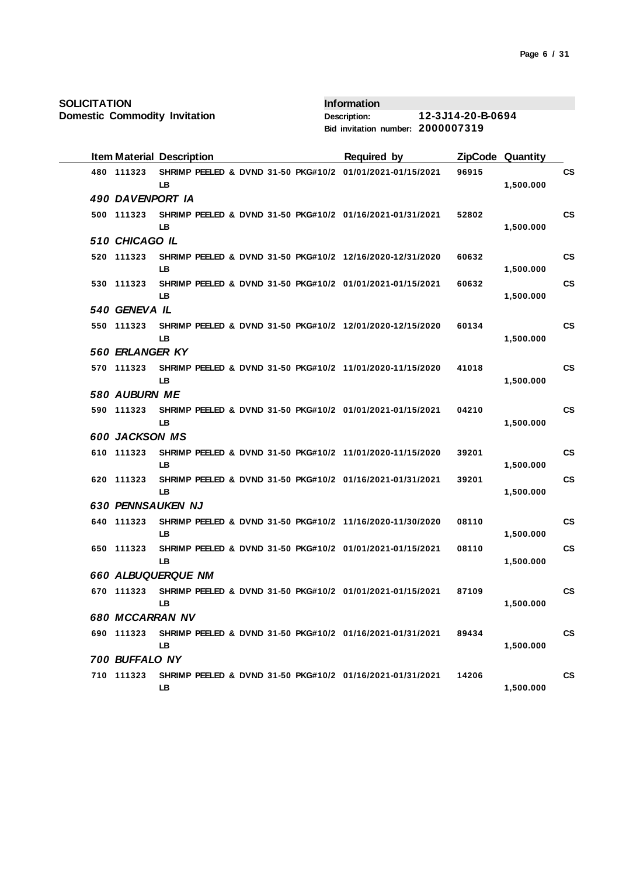**Domestic Commodity Invitation**

|  |                        | <b>Item Material Description</b>                                |  | <b>Required by</b> |       | ZipCode Quantity |           |
|--|------------------------|-----------------------------------------------------------------|--|--------------------|-------|------------------|-----------|
|  | 480 111323             | SHRIMP PEELED & DVND 31-50 PKG#10/2 01/01/2021-01/15/2021<br>LB |  |                    | 96915 | 1,500.000        | <b>CS</b> |
|  | 490 DAVENPORT IA       |                                                                 |  |                    |       |                  |           |
|  | 500 111323             | SHRIMP PEELED & DVND 31-50 PKG#10/2 01/16/2021-01/31/2021<br>LB |  |                    | 52802 | 1,500.000        | <b>CS</b> |
|  | 510 CHICAGO IL         |                                                                 |  |                    |       |                  |           |
|  | 520 111323             | SHRIMP PEELED & DVND 31-50 PKG#10/2 12/16/2020-12/31/2020<br>LB |  |                    | 60632 | 1,500.000        | <b>CS</b> |
|  | 530 111323             | SHRIMP PEELED & DVND 31-50 PKG#10/2 01/01/2021-01/15/2021<br>LB |  |                    | 60632 | 1,500.000        | <b>CS</b> |
|  | 540 GENEVA IL          |                                                                 |  |                    |       |                  |           |
|  | 550 111323             | SHRIMP PEELED & DVND 31-50 PKG#10/2 12/01/2020-12/15/2020<br>LB |  |                    | 60134 | 1,500.000        | <b>CS</b> |
|  | 560 ERLANGER KY        |                                                                 |  |                    |       |                  |           |
|  | 570 111323             | SHRIMP PEELED & DVND 31-50 PKG#10/2 11/01/2020-11/15/2020<br>LB |  |                    | 41018 | 1,500.000        | <b>CS</b> |
|  | 580 AUBURN ME          |                                                                 |  |                    |       |                  |           |
|  | 590 111323             | SHRIMP PEELED & DVND 31-50 PKG#10/2 01/01/2021-01/15/2021<br>LB |  |                    | 04210 | 1,500.000        | <b>CS</b> |
|  | <b>600 JACKSON MS</b>  |                                                                 |  |                    |       |                  |           |
|  | 610 111323             | SHRIMP PEELED & DVND 31-50 PKG#10/2 11/01/2020-11/15/2020<br>LB |  |                    | 39201 | 1,500.000        | <b>CS</b> |
|  | 620 111323             | SHRIMP PEELED & DVND 31-50 PKG#10/2 01/16/2021-01/31/2021<br>LB |  |                    | 39201 | 1,500.000        | <b>CS</b> |
|  |                        | <b>630 PENNSAUKEN NJ</b>                                        |  |                    |       |                  |           |
|  | 640 111323             | SHRIMP PEELED & DVND 31-50 PKG#10/2 11/16/2020-11/30/2020<br>LB |  |                    | 08110 | 1,500.000        | <b>CS</b> |
|  | 650 111323             | SHRIMP PEELED & DVND 31-50 PKG#10/2 01/01/2021-01/15/2021<br>LB |  |                    | 08110 | 1,500.000        | <b>CS</b> |
|  |                        | <b>660 ALBUQUERQUE NM</b>                                       |  |                    |       |                  |           |
|  | 670 111323             | SHRIMP PEELED & DVND 31-50 PKG#10/2 01/01/2021-01/15/2021<br>LB |  |                    | 87109 | 1,500.000        | <b>CS</b> |
|  | <b>680 MCCARRAN NV</b> |                                                                 |  |                    |       |                  |           |
|  | 690 111323             | SHRIMP PEELED & DVND 31-50 PKG#10/2 01/16/2021-01/31/2021<br>LB |  |                    | 89434 | 1,500.000        | <b>CS</b> |
|  | 700 BUFFALO NY         |                                                                 |  |                    |       |                  |           |
|  | 710 111323             | SHRIMP PEELED & DVND 31-50 PKG#10/2 01/16/2021-01/31/2021<br>LB |  |                    | 14206 | 1,500.000        | <b>CS</b> |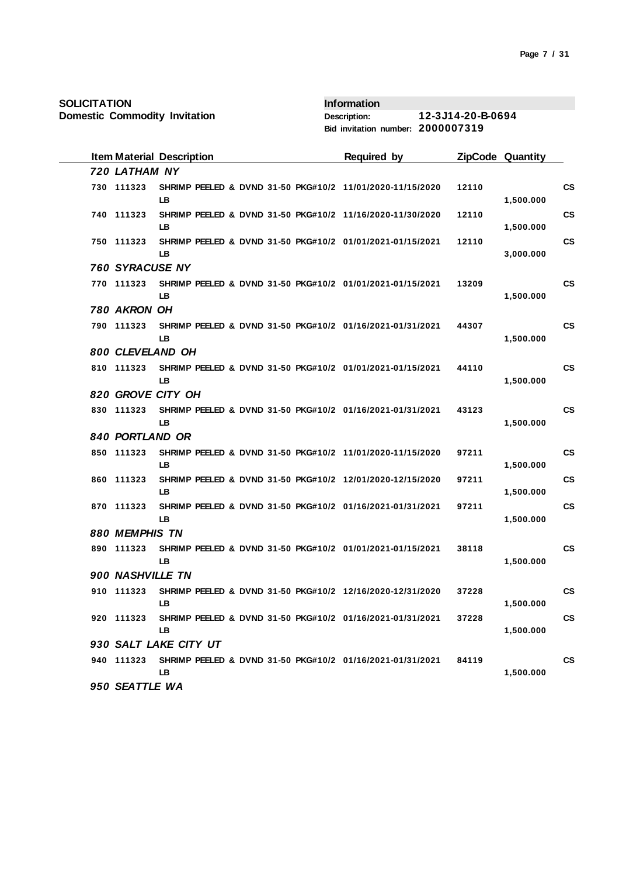|  |                  | <b>Item Material Description</b> |  | <b>Required by</b>                                        |       | ZipCode Quantity |           |
|--|------------------|----------------------------------|--|-----------------------------------------------------------|-------|------------------|-----------|
|  | 720 LATHAM NY    |                                  |  |                                                           |       |                  |           |
|  | 730 111323       | <b>LB</b>                        |  | SHRIMP PEELED & DVND 31-50 PKG#10/2 11/01/2020-11/15/2020 | 12110 | 1,500.000        | <b>CS</b> |
|  | 740 111323       | LB                               |  | SHRIMP PEELED & DVND 31-50 PKG#10/2 11/16/2020-11/30/2020 | 12110 | 1,500.000        | <b>CS</b> |
|  | 750 111323       | LB                               |  | SHRIMP PEELED & DVND 31-50 PKG#10/2 01/01/2021-01/15/2021 | 12110 | 3,000.000        | <b>CS</b> |
|  | 760 SYRACUSE NY  |                                  |  |                                                           |       |                  |           |
|  | 770 111323       | LB.                              |  | SHRIMP PEELED & DVND 31-50 PKG#10/2 01/01/2021-01/15/2021 | 13209 | 1,500.000        | <b>CS</b> |
|  | 780 AKRON OH     |                                  |  |                                                           |       |                  |           |
|  | 790 111323       | LB.                              |  | SHRIMP PEELED & DVND 31-50 PKG#10/2 01/16/2021-01/31/2021 | 44307 | 1,500.000        | <b>CS</b> |
|  | 800 CLEVELAND OH |                                  |  |                                                           |       |                  |           |
|  | 810 111323       | <b>LB</b>                        |  | SHRIMP PEELED & DVND 31-50 PKG#10/2 01/01/2021-01/15/2021 | 44110 | 1,500.000        | <b>CS</b> |
|  |                  | 820 GROVE CITY OH                |  |                                                           |       |                  |           |
|  | 830 111323       | <b>LB</b>                        |  | SHRIMP PEELED & DVND 31-50 PKG#10/2 01/16/2021-01/31/2021 | 43123 | 1,500.000        | <b>CS</b> |
|  | 840 PORTLAND OR  |                                  |  |                                                           |       |                  |           |
|  | 850 111323       | <b>LB</b>                        |  | SHRIMP PEELED & DVND 31-50 PKG#10/2 11/01/2020-11/15/2020 | 97211 | 1,500.000        | <b>CS</b> |
|  | 860 111323       | LB.                              |  | SHRIMP PEELED & DVND 31-50 PKG#10/2 12/01/2020-12/15/2020 | 97211 | 1,500.000        | CS        |
|  | 870 111323       | <b>LB</b>                        |  | SHRIMP PEELED & DVND 31-50 PKG#10/2 01/16/2021-01/31/2021 | 97211 | 1,500.000        | CS        |
|  | 880 MEMPHIS TN   |                                  |  |                                                           |       |                  |           |
|  | 890 111323       | LB                               |  | SHRIMP PEELED & DVND 31-50 PKG#10/2 01/01/2021-01/15/2021 | 38118 | 1,500.000        | <b>CS</b> |
|  | 900 NASHVILLE TN |                                  |  |                                                           |       |                  |           |
|  | 910 111323       | LB                               |  | SHRIMP PEELED & DVND 31-50 PKG#10/2 12/16/2020-12/31/2020 | 37228 | 1,500.000        | <b>CS</b> |
|  | 920 111323       | <b>LB</b>                        |  | SHRIMP PEELED & DVND 31-50 PKG#10/2 01/16/2021-01/31/2021 | 37228 | 1,500.000        | <b>CS</b> |
|  |                  | 930 SALT LAKE CITY UT            |  |                                                           |       |                  |           |
|  | 940 111323       | LB                               |  | SHRIMP PEELED & DVND 31-50 PKG#10/2 01/16/2021-01/31/2021 | 84119 | 1,500.000        | <b>CS</b> |
|  | 950 SEATTLE WA   |                                  |  |                                                           |       |                  |           |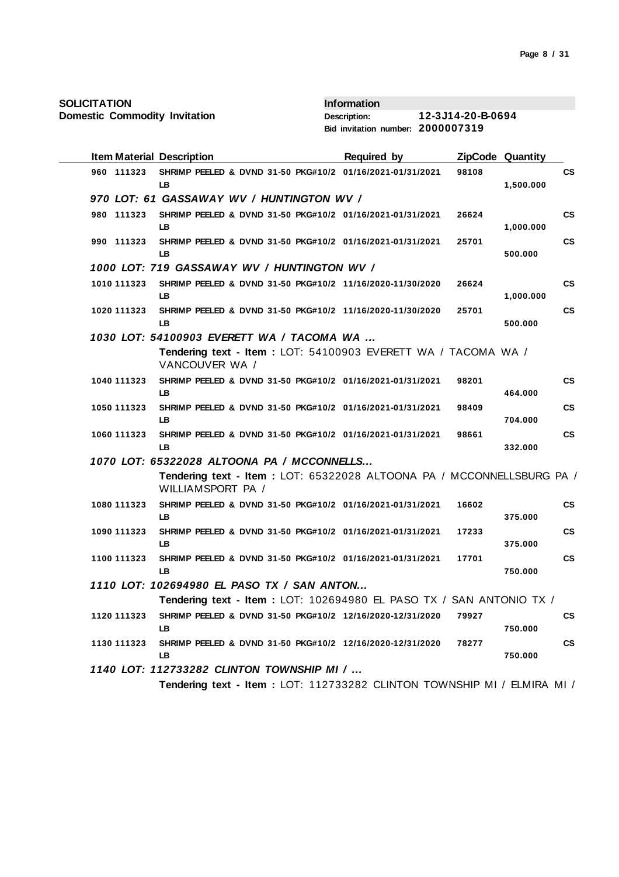**Domestic Commodity Invitation**

| <b>Item Material Description</b> |                                                                                            | Required by |       | <b>ZipCode Quantity</b> |                        |
|----------------------------------|--------------------------------------------------------------------------------------------|-------------|-------|-------------------------|------------------------|
| 960 111323                       | SHRIMP PEELED & DVND 31-50 PKG#10/2 01/16/2021-01/31/2021<br>LВ                            |             | 98108 | 1,500.000               | $\mathsf{cs}$          |
|                                  | 970 LOT: 61 GASSAWAY WV / HUNTINGTON WV /                                                  |             |       |                         |                        |
| 980 111323                       | SHRIMP PEELED & DVND 31-50 PKG#10/2 01/16/2021-01/31/2021<br>LB                            |             | 26624 | 1,000.000               | $\mathsf{cs}$          |
| 990 111323                       | SHRIMP PEELED & DVND 31-50 PKG#10/2 01/16/2021-01/31/2021<br>LВ                            |             | 25701 | 500.000                 | $\mathsf{cs}$          |
|                                  | 1000 LOT: 719 GASSAWAY WV / HUNTINGTON WV /                                                |             |       |                         |                        |
| 1010 111323                      | SHRIMP PEELED & DVND 31-50 PKG#10/2 11/16/2020-11/30/2020<br><b>LB</b>                     |             | 26624 | 1,000.000               | $\mathbf{c}\mathbf{s}$ |
| 1020 111323                      | SHRIMP PEELED & DVND 31-50 PKG#10/2 11/16/2020-11/30/2020<br>LВ                            |             | 25701 | 500.000                 | <b>CS</b>              |
|                                  | 1030 LOT: 54100903 EVERETT WA / TACOMA WA                                                  |             |       |                         |                        |
|                                  | Tendering text - Item: LOT: 54100903 EVERETT WA / TACOMA WA /<br>VANCOUVER WA /            |             |       |                         |                        |
| 1040 111323                      | SHRIMP PEELED & DVND 31-50 PKG#10/2 01/16/2021-01/31/2021<br>LB                            |             | 98201 | 464.000                 | $\mathsf{cs}$          |
| 1050 111323                      | SHRIMP PEELED & DVND 31-50 PKG#10/2 01/16/2021-01/31/2021<br><b>LB</b>                     |             | 98409 | 704.000                 | $\mathsf{cs}$          |
| 1060 111323                      | SHRIMP PEELED & DVND 31-50 PKG#10/2 01/16/2021-01/31/2021<br>LB                            |             | 98661 | 332.000                 | $\mathsf{cs}$          |
|                                  | 1070 LOT: 65322028 ALTOONA PA / MCCONNELLS                                                 |             |       |                         |                        |
|                                  | Tendering text - Item: LOT: 65322028 ALTOONA PA / MCCONNELLSBURG PA /<br>WILLIAMSPORT PA / |             |       |                         |                        |
| 1080 111323                      | SHRIMP PEELED & DVND 31-50 PKG#10/2 01/16/2021-01/31/2021<br>LB                            |             | 16602 | 375.000                 | $\mathsf{cs}$          |
| 1090 111323                      | SHRIMP PEELED & DVND 31-50 PKG#10/2 01/16/2021-01/31/2021<br>LB                            |             | 17233 | 375.000                 | $\mathsf{cs}$          |
| 1100 111323                      | SHRIMP PEELED & DVND 31-50 PKG#10/2 01/16/2021-01/31/2021<br>LВ                            |             | 17701 | 750.000                 | $\mathsf{cs}$          |
|                                  | 1110 LOT: 102694980 EL PASO TX / SAN ANTON                                                 |             |       |                         |                        |
|                                  | Tendering text - Item: LOT: 102694980 EL PASO TX / SAN ANTONIO TX /                        |             |       |                         |                        |
| 1120 111323                      | SHRIMP PEELED & DVND 31-50 PKG#10/2 12/16/2020-12/31/2020 79927<br>LВ                      |             |       | 750.000                 | CS                     |
| 1130 111323                      | SHRIMP PEELED & DVND 31-50 PKG#10/2 12/16/2020-12/31/2020<br>LB                            |             | 78277 | 750.000                 | $\mathsf{cs}$          |
|                                  | 1140 LOT: 112733282 CLINTON TOWNSHIP MI /                                                  |             |       |                         |                        |
|                                  | Tendering text - Item: LOT: 112733282 CLINTON TOWNSHIP MI / ELMIRA MI /                    |             |       |                         |                        |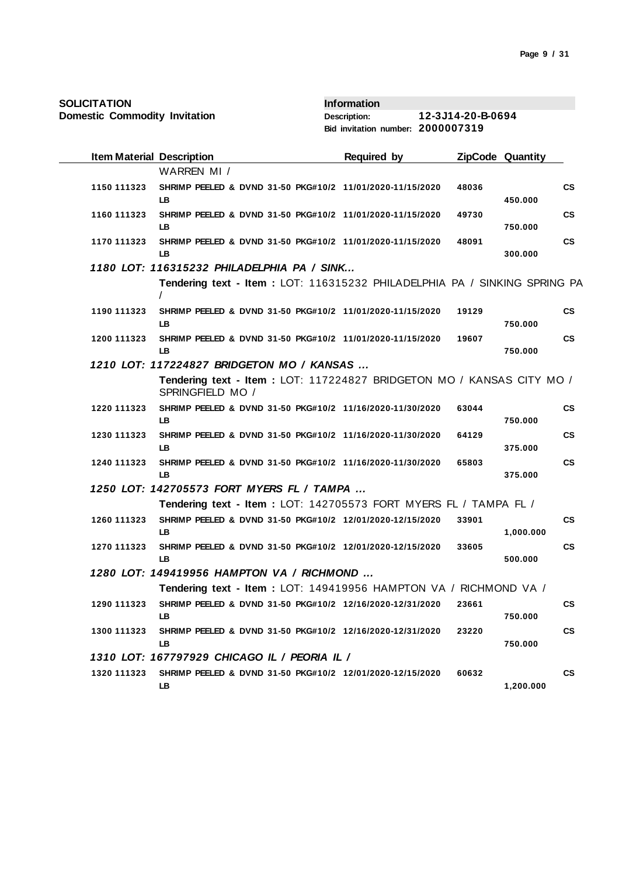| <b>SOLICITATION</b><br><b>Domestic Commodity Invitation</b> |                                                                                           | <b>Information</b><br><b>Description:</b> | 12-3J14-20-B-0694 |                         |                        |
|-------------------------------------------------------------|-------------------------------------------------------------------------------------------|-------------------------------------------|-------------------|-------------------------|------------------------|
|                                                             |                                                                                           | Bid invitation number: 2000007319         |                   |                         |                        |
| <b>Item Material Description</b>                            |                                                                                           | <b>Required by</b>                        |                   | <b>ZipCode Quantity</b> |                        |
|                                                             | WARREN MI /                                                                               |                                           |                   |                         |                        |
| 1150 111323                                                 | SHRIMP PEELED & DVND 31-50 PKG#10/2 11/01/2020-11/15/2020<br>LB.                          |                                           | 48036             | 450.000                 | <b>CS</b>              |
| 1160 111323                                                 | SHRIMP PEELED & DVND 31-50 PKG#10/2 11/01/2020-11/15/2020<br>LB                           |                                           | 49730             | 750.000                 | <b>CS</b>              |
| 1170 111323                                                 | SHRIMP PEELED & DVND 31-50 PKG#10/2 11/01/2020-11/15/2020<br>LB.                          |                                           | 48091             | 300.000                 | $\mathsf{cs}$          |
|                                                             | 1180 LOT: 116315232 PHILADELPHIA PA / SINK                                                |                                           |                   |                         |                        |
|                                                             | Tendering text - Item : LOT: 116315232 PHILADELPHIA PA / SINKING SPRING PA                |                                           |                   |                         |                        |
| 1190 111323                                                 | SHRIMP PEELED & DVND 31-50 PKG#10/2 11/01/2020-11/15/2020<br>LB                           |                                           | 19129             | 750.000                 | <b>CS</b>              |
| 1200 111323                                                 | SHRIMP PEELED & DVND 31-50 PKG#10/2 11/01/2020-11/15/2020<br>LB                           |                                           | 19607             | 750.000                 | <b>CS</b>              |
|                                                             | 1210 LOT: 117224827 BRIDGETON MO / KANSAS                                                 |                                           |                   |                         |                        |
|                                                             | Tendering text - Item: LOT: 117224827 BRIDGETON MO / KANSAS CITY MO /<br>SPRINGFIELD MO / |                                           |                   |                         |                        |
| 1220 111323                                                 | SHRIMP PEELED & DVND 31-50 PKG#10/2 11/16/2020-11/30/2020<br>LB                           |                                           | 63044             | 750.000                 | <b>CS</b>              |
| 1230 111323                                                 | SHRIMP PEELED & DVND 31-50 PKG#10/2 11/16/2020-11/30/2020<br>LB                           |                                           | 64129             | 375.000                 | $\mathbf{c}\mathbf{s}$ |
| 1240 111323                                                 | SHRIMP PEELED & DVND 31-50 PKG#10/2 11/16/2020-11/30/2020<br>LB                           |                                           | 65803             | 375.000                 | <b>CS</b>              |
|                                                             | 1250 LOT: 142705573 FORT MYERS FL / TAMPA                                                 |                                           |                   |                         |                        |
|                                                             | Tendering text - Item: LOT: 142705573 FORT MYERS FL / TAMPA FL /                          |                                           |                   |                         |                        |
| 1260 111323                                                 | SHRIMP PEELED & DVND 31-50 PKG#10/2 12/01/2020-12/15/2020<br>LB                           |                                           | 33901             | 1,000.000               | <b>CS</b>              |
| 1270 111323                                                 | SHRIMP PEELED & DVND 31-50 PKG#10/2 12/01/2020-12/15/2020<br>LB                           |                                           | 33605             | 500.000                 | <b>CS</b>              |
|                                                             | 1280 LOT: 149419956 HAMPTON VA / RICHMOND                                                 |                                           |                   |                         |                        |
|                                                             | Tendering text - Item: LOT: 149419956 HAMPTON VA / RICHMOND VA /                          |                                           |                   |                         |                        |
| 1290 111323                                                 | SHRIMP PEELED & DVND 31-50 PKG#10/2 12/16/2020-12/31/2020<br>LB                           |                                           | 23661             | 750.000                 | <b>CS</b>              |
| 1300 111323                                                 | SHRIMP PEELED & DVND 31-50 PKG#10/2 12/16/2020-12/31/2020<br>LB                           |                                           | 23220             | 750.000                 | <b>CS</b>              |
|                                                             | 1310 LOT: 167797929 CHICAGO IL / PEORIA IL /                                              |                                           |                   |                         |                        |
| 1320 111323                                                 | SHRIMP PEELED & DVND 31-50 PKG#10/2 12/01/2020-12/15/2020<br>LB                           |                                           | 60632             | 1,200.000               | <b>CS</b>              |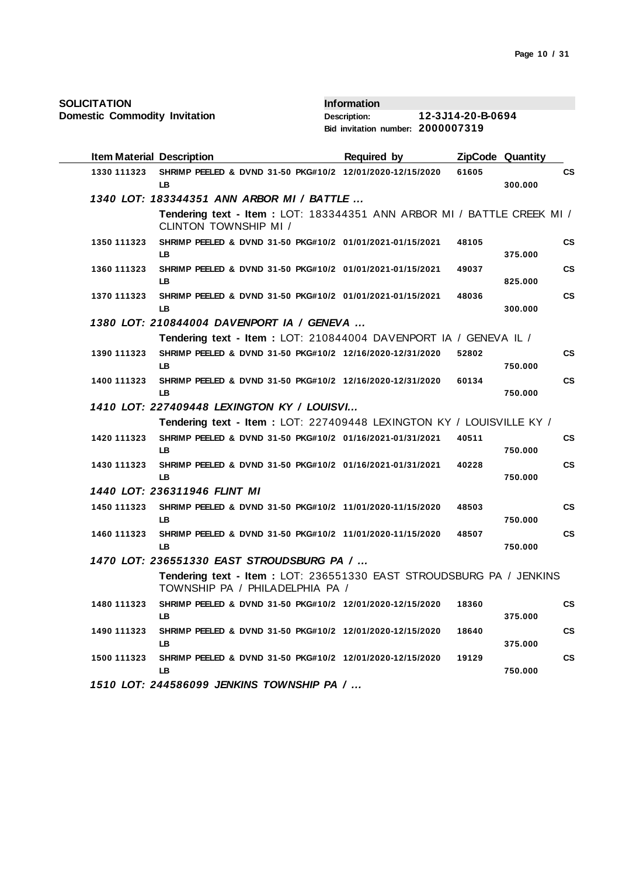| <b>SOLICITATION</b> |
|---------------------|
|---------------------|

| <b>Item Material Description</b> |                                                                                                         | <b>Required by</b> |       | ZipCode Quantity |               |
|----------------------------------|---------------------------------------------------------------------------------------------------------|--------------------|-------|------------------|---------------|
| 1330 111323                      | SHRIMP PEELED & DVND 31-50 PKG#10/2 12/01/2020-12/15/2020<br>LB.                                        |                    | 61605 | 300.000          | CS            |
|                                  | 1340 LOT: 183344351 ANN ARBOR MI / BATTLE                                                               |                    |       |                  |               |
|                                  | Tendering text - Item: LOT: 183344351 ANN ARBOR MI / BATTLE CREEK MI /<br>CLINTON TOWNSHIP MI /         |                    |       |                  |               |
| 1350 111323                      | SHRIMP PEELED & DVND 31-50 PKG#10/2 01/01/2021-01/15/2021<br>LB.                                        |                    | 48105 | 375.000          | <b>CS</b>     |
| 1360 111323                      | SHRIMP PEELED & DVND 31-50 PKG#10/2 01/01/2021-01/15/2021<br>LB.                                        |                    | 49037 | 825.000          | <b>CS</b>     |
| 1370 111323                      | SHRIMP PEELED & DVND 31-50 PKG#10/2 01/01/2021-01/15/2021<br>LB.                                        |                    | 48036 | 300.000          | <b>CS</b>     |
|                                  | 1380 LOT: 210844004 DAVENPORT IA / GENEVA                                                               |                    |       |                  |               |
|                                  | Tendering text - Item : LOT: 210844004 DAVENPORT IA / GENEVA IL /                                       |                    |       |                  |               |
| 1390 111323                      | SHRIMP PEELED & DVND 31-50 PKG#10/2 12/16/2020-12/31/2020<br>LB.                                        |                    | 52802 | 750.000          | <b>CS</b>     |
| 1400 111323                      | SHRIMP PEELED & DVND 31-50 PKG#10/2 12/16/2020-12/31/2020<br>LB.                                        |                    | 60134 | 750.000          | CS            |
|                                  | 1410 LOT: 227409448 LEXINGTON KY / LOUISVI                                                              |                    |       |                  |               |
|                                  | Tendering text - Item : LOT: 227409448 LEXINGTON KY / LOUISVILLE KY /                                   |                    |       |                  |               |
| 1420 111323                      | SHRIMP PEELED & DVND 31-50 PKG#10/2 01/16/2021-01/31/2021<br>LB.                                        |                    | 40511 | 750.000          | CS            |
| 1430 111323                      | SHRIMP PEELED & DVND 31-50 PKG#10/2 01/16/2021-01/31/2021<br>LB                                         |                    | 40228 | 750.000          | $\mathsf{cs}$ |
|                                  | 1440 LOT: 236311946 FLINT MI                                                                            |                    |       |                  |               |
| 1450 111323                      | SHRIMP PEELED & DVND 31-50 PKG#10/2 11/01/2020-11/15/2020<br>LB.                                        |                    | 48503 | 750.000          | CS            |
| 1460 111323                      | SHRIMP PEELED & DVND 31-50 PKG#10/2 11/01/2020-11/15/2020<br>LB.                                        |                    | 48507 | 750.000          | $\mathsf{cs}$ |
|                                  | 1470 LOT: 236551330 EAST STROUDSBURG PA /                                                               |                    |       |                  |               |
|                                  | Tendering text - Item : LOT: 236551330 EAST STROUDSBURG PA / JENKINS<br>TOWNSHIP PA / PHILADELPHIA PA / |                    |       |                  |               |
| 1480 111323                      | SHRIMP PEELED & DVND 31-50 PKG#10/2 12/01/2020-12/15/2020<br>LB.                                        |                    | 18360 | 375.000          | <b>CS</b>     |
| 1490 111323                      | SHRIMP PEELED & DVND 31-50 PKG#10/2 12/01/2020-12/15/2020<br>LB.                                        |                    | 18640 | 375.000          | <b>CS</b>     |
| 1500 111323                      | SHRIMP PEELED & DVND 31-50 PKG#10/2 12/01/2020-12/15/2020<br>LB.                                        |                    | 19129 | 750.000          | <b>CS</b>     |
|                                  | 1510 LOT: 244586099 JENKINS TOWNSHIP PA /                                                               |                    |       |                  |               |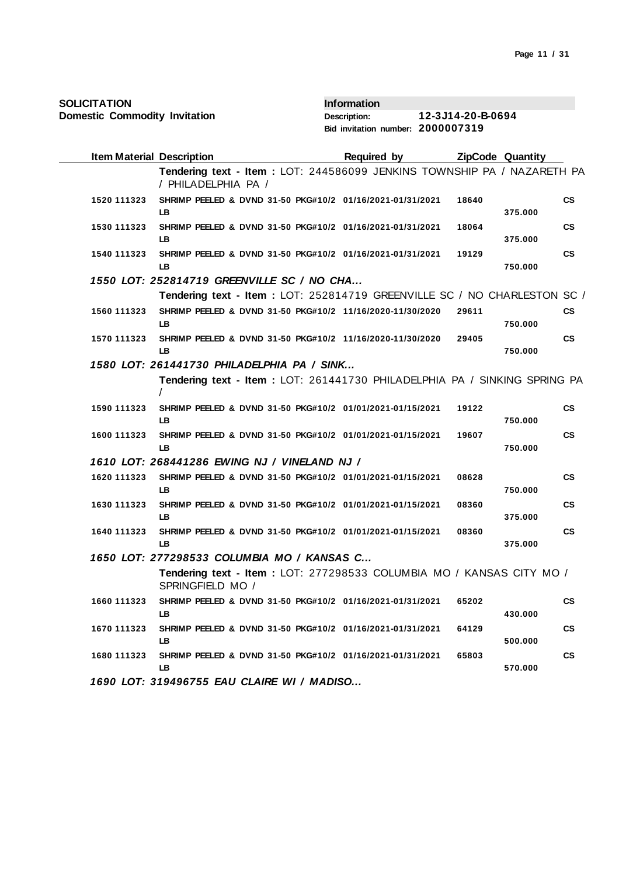| SOLICITATION |  |
|--------------|--|
|--------------|--|

| <b>Item Material Description</b> |                                                                                                 | <b>Required by</b> |       | <b>ZipCode Quantity</b> |               |
|----------------------------------|-------------------------------------------------------------------------------------------------|--------------------|-------|-------------------------|---------------|
|                                  | Tendering text - Item : LOT: 244586099 JENKINS TOWNSHIP PA / NAZARETH PA<br>/ PHILADELPHIA PA / |                    |       |                         |               |
| 1520 111323                      | SHRIMP PEELED & DVND 31-50 PKG#10/2 01/16/2021-01/31/2021<br>LB.                                |                    | 18640 | 375.000                 | $\mathsf{cs}$ |
| 1530 111323                      | SHRIMP PEELED & DVND 31-50 PKG#10/2 01/16/2021-01/31/2021<br>LB.                                |                    | 18064 | 375.000                 | <b>CS</b>     |
| 1540 111323                      | SHRIMP PEELED & DVND 31-50 PKG#10/2 01/16/2021-01/31/2021<br>LB.                                |                    | 19129 | 750.000                 | <b>CS</b>     |
|                                  | 1550 LOT: 252814719 GREENVILLE SC / NO CHA                                                      |                    |       |                         |               |
|                                  | Tendering text - Item : LOT: 252814719 GREENVILLE SC / NO CHARLESTON SC /                       |                    |       |                         |               |
| 1560 111323                      | SHRIMP PEELED & DVND 31-50 PKG#10/2 11/16/2020-11/30/2020<br>LB.                                |                    | 29611 | 750.000                 | CS            |
| 1570 111323                      | SHRIMP PEELED & DVND 31-50 PKG#10/2 11/16/2020-11/30/2020<br>LB.                                |                    | 29405 | 750.000                 | $\mathsf{cs}$ |
|                                  | 1580 LOT: 261441730 PHILADELPHIA PA / SINK                                                      |                    |       |                         |               |
|                                  | Tendering text - Item: LOT: 261441730 PHILADELPHIA PA / SINKING SPRING PA                       |                    |       |                         |               |
| 1590 111323                      | SHRIMP PEELED & DVND 31-50 PKG#10/2 01/01/2021-01/15/2021<br>LB.                                |                    | 19122 | 750.000                 | <b>CS</b>     |
| 1600 111323                      | SHRIMP PEELED & DVND 31-50 PKG#10/2 01/01/2021-01/15/2021<br>I B                                |                    | 19607 | 750.000                 | <b>CS</b>     |
|                                  | 1610 LOT: 268441286 EWING NJ / VINELAND NJ /                                                    |                    |       |                         |               |
| 1620 111323                      | SHRIMP PEELED & DVND 31-50 PKG#10/2 01/01/2021-01/15/2021<br>LB.                                |                    | 08628 | 750.000                 | $\mathsf{cs}$ |
| 1630 111323                      | SHRIMP PEELED & DVND 31-50 PKG#10/2 01/01/2021-01/15/2021<br>LB.                                |                    | 08360 | 375.000                 | <b>CS</b>     |
| 1640 111323                      | SHRIMP PEELED & DVND 31-50 PKG#10/2 01/01/2021-01/15/2021<br>LB.                                |                    | 08360 | 375.000                 | <b>CS</b>     |
|                                  | 1650 LOT: 277298533 COLUMBIA MO / KANSAS C                                                      |                    |       |                         |               |
|                                  | Tendering text - Item: LOT: 277298533 COLUMBIA MO / KANSAS CITY MO /<br>SPRINGFIELD MO /        |                    |       |                         |               |
| 1660 111323                      | SHRIMP PEELED & DVND 31-50 PKG#10/2 01/16/2021-01/31/2021<br>LB.                                |                    | 65202 | 430.000                 | <b>CS</b>     |
| 1670 111323                      | SHRIMP PEELED & DVND 31-50 PKG#10/2 01/16/2021-01/31/2021<br>LB.                                |                    | 64129 | 500.000                 | <b>CS</b>     |
| 1680 111323                      | SHRIMP PEELED & DVND 31-50 PKG#10/2 01/16/2021-01/31/2021<br>LB.                                |                    | 65803 | 570.000                 | <b>CS</b>     |
|                                  | 1690 LOT: 319496755 EAU CLAIRE WI / MADISO                                                      |                    |       |                         |               |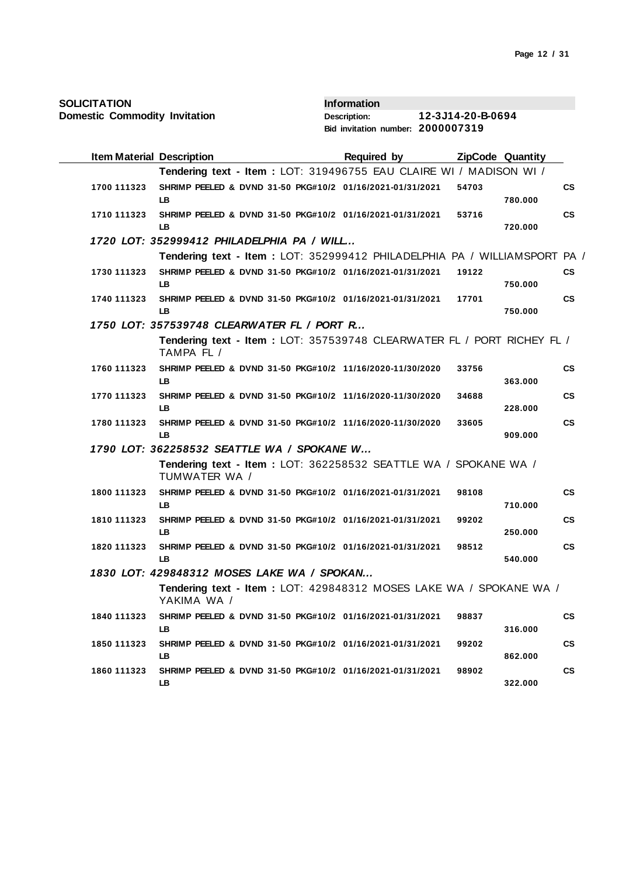| <b>SOLICITATION</b> |  |
|---------------------|--|
|---------------------|--|

| <b>Item Material Description</b> |                                                                                       | <b>Required by</b> | <b>ZipCode Quantity</b> |         |               |
|----------------------------------|---------------------------------------------------------------------------------------|--------------------|-------------------------|---------|---------------|
|                                  | Tendering text - Item: LOT: 319496755 EAU CLAIRE WI / MADISON WI /                    |                    |                         |         |               |
| 1700 111323                      | SHRIMP PEELED & DVND 31-50 PKG#10/2 01/16/2021-01/31/2021<br>LB.                      |                    | 54703                   | 780.000 | <b>CS</b>     |
| 1710 111323                      | SHRIMP PEELED & DVND 31-50 PKG#10/2 01/16/2021-01/31/2021<br>LB.                      |                    | 53716                   | 720.000 | <b>CS</b>     |
|                                  | 1720 LOT: 352999412 PHILADELPHIA PA / WILL                                            |                    |                         |         |               |
|                                  | Tendering text - Item : LOT: 352999412 PHILADELPHIA PA / WILLIAMSPORT PA /            |                    |                         |         |               |
| 1730 111323                      | SHRIMP PEELED & DVND 31-50 PKG#10/2 01/16/2021-01/31/2021<br>LB.                      |                    | 19122                   | 750.000 | <b>CS</b>     |
| 1740 111323                      | SHRIMP PEELED & DVND 31-50 PKG#10/2 01/16/2021-01/31/2021<br>LB.                      |                    | 17701                   | 750.000 | <b>CS</b>     |
|                                  | 1750 LOT: 357539748 CLEARWATER FL / PORT R                                            |                    |                         |         |               |
|                                  | Tendering text - Item : LOT: 357539748 CLEARWATER FL / PORT RICHEY FL /<br>TAMPA FL / |                    |                         |         |               |
| 1760 111323                      | SHRIMP PEELED & DVND 31-50 PKG#10/2 11/16/2020-11/30/2020<br>LB.                      |                    | 33756                   | 363.000 | <b>CS</b>     |
| 1770 111323                      | SHRIMP PEELED & DVND 31-50 PKG#10/2 11/16/2020-11/30/2020<br>LB.                      |                    | 34688                   | 228.000 | <b>CS</b>     |
| 1780 111323                      | SHRIMP PEELED & DVND 31-50 PKG#10/2 11/16/2020-11/30/2020<br>LB.                      |                    | 33605                   | 909.000 | <b>CS</b>     |
|                                  | 1790 LOT: 362258532 SEATTLE WA / SPOKANE W                                            |                    |                         |         |               |
|                                  | Tendering text - Item: LOT: 362258532 SEATTLE WA / SPOKANE WA /<br>TUMWATER WA /      |                    |                         |         |               |
| 1800 111323                      | SHRIMP PEELED & DVND 31-50 PKG#10/2 01/16/2021-01/31/2021<br>LB                       |                    | 98108                   | 710.000 | CS            |
| 1810 111323                      | SHRIMP PEELED & DVND 31-50 PKG#10/2 01/16/2021-01/31/2021<br>LB.                      |                    | 99202                   | 250.000 | СS            |
| 1820 111323                      | SHRIMP PEELED & DVND 31-50 PKG#10/2 01/16/2021-01/31/2021<br>LB.                      |                    | 98512                   | 540.000 | <b>CS</b>     |
|                                  | 1830 LOT: 429848312 MOSES LAKE WA / SPOKAN                                            |                    |                         |         |               |
|                                  | Tendering text - Item: LOT: 429848312 MOSES LAKE WA / SPOKANE WA /<br>YAKIMA WA /     |                    |                         |         |               |
| 1840 111323                      | SHRIMP PEELED & DVND 31-50 PKG#10/2 01/16/2021-01/31/2021<br>LB.                      |                    | 98837                   | 316.000 | $\mathsf{cs}$ |
| 1850 111323                      | SHRIMP PEELED & DVND 31-50 PKG#10/2 01/16/2021-01/31/2021<br>LB.                      |                    | 99202                   | 862.000 | <b>CS</b>     |
| 1860 111323                      | SHRIMP PEELED & DVND 31-50 PKG#10/2 01/16/2021-01/31/2021<br>LB.                      |                    | 98902                   | 322.000 | <b>CS</b>     |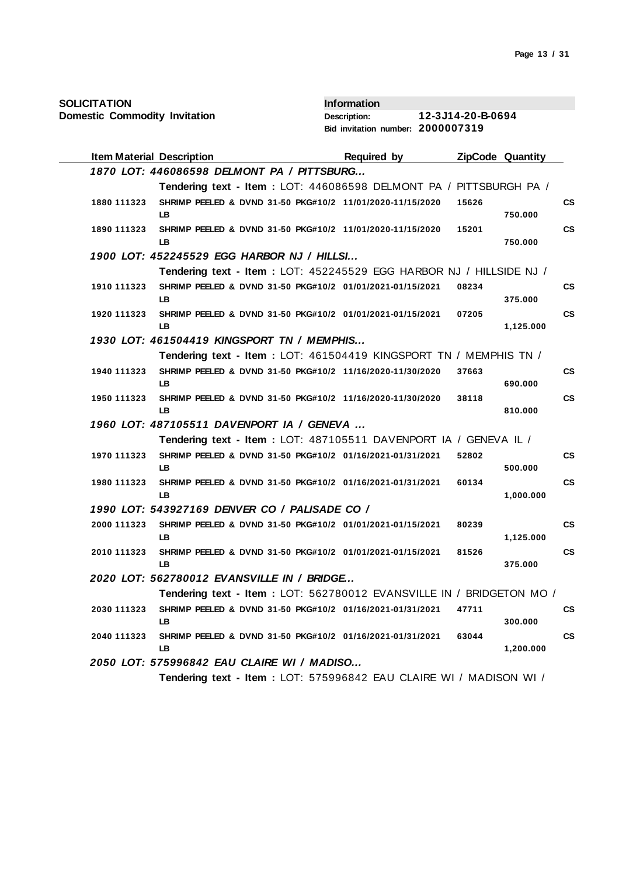| <b>SOLICITATION</b>                           | <b>Information</b>                                                   |                                 |
|-----------------------------------------------|----------------------------------------------------------------------|---------------------------------|
| <b>Domestic Commodity Invitation</b>          | <b>Description:</b>                                                  | 12-3J14-20-B-0694               |
|                                               | Bid invitation number: 2000007319                                    |                                 |
| <b>Item Material Description</b>              | Required by                                                          | <b>ZipCode Quantity</b>         |
| 1870 LOT: 446086598 DELMONT PA / PITTSBURG    |                                                                      |                                 |
|                                               | Tendering text - Item : LOT: 446086598 DELMONT PA / PITTSBURGH PA /  |                                 |
| 1880 111323<br>LB                             | SHRIMP PEELED & DVND 31-50 PKG#10/2 11/01/2020-11/15/2020            | 15626<br>CS<br>750.000          |
| 1890 111323<br>LB                             | SHRIMP PEELED & DVND 31-50 PKG#10/2 11/01/2020-11/15/2020            | <b>CS</b><br>15201<br>750.000   |
| 1900 LOT: 452245529 EGG HARBOR NJ / HILLSI    |                                                                      |                                 |
|                                               | Tendering text - Item: LOT: 452245529 EGG HARBOR NJ / HILLSIDE NJ /  |                                 |
| 1910 111323<br>LB                             | SHRIMP PEELED & DVND 31-50 PKG#10/2 01/01/2021-01/15/2021            | 08234<br>CS<br>375.000          |
| 1920 111323<br>LB.                            | SHRIMP PEELED & DVND 31-50 PKG#10/2 01/01/2021-01/15/2021            | <b>CS</b><br>07205<br>1,125.000 |
| 1930 LOT: 461504419 KINGSPORT TN / MEMPHIS    |                                                                      |                                 |
|                                               | Tendering text - Item: LOT: 461504419 KINGSPORT TN / MEMPHIS TN /    |                                 |
| 1940 111323<br>LB                             | SHRIMP PEELED & DVND 31-50 PKG#10/2 11/16/2020-11/30/2020            | <b>CS</b><br>37663<br>690.000   |
| 1950 111323<br>LB                             | SHRIMP PEELED & DVND 31-50 PKG#10/2 11/16/2020-11/30/2020            | <b>CS</b><br>38118<br>810.000   |
| 1960 LOT: 487105511 DAVENPORT IA / GENEVA     |                                                                      |                                 |
|                                               | Tendering text - Item: LOT: 487105511 DAVENPORT IA / GENEVA IL /     |                                 |
| 1970 111323<br>LB                             | SHRIMP PEELED & DVND 31-50 PKG#10/2 01/16/2021-01/31/2021            | <b>CS</b><br>52802<br>500.000   |
| 1980 111323<br>LB                             | SHRIMP PEELED & DVND 31-50 PKG#10/2 01/16/2021-01/31/2021            | <b>CS</b><br>60134<br>1,000.000 |
| 1990 LOT: 543927169 DENVER CO / PALISADE CO / |                                                                      |                                 |
| 2000 111323<br>LB                             | SHRIMP PEELED & DVND 31-50 PKG#10/2 01/01/2021-01/15/2021            | <b>CS</b><br>80239<br>1,125.000 |
| 2010 111323<br>LB                             | SHRIMP PEELED & DVND 31-50 PKG#10/2 01/01/2021-01/15/2021            | <b>CS</b><br>81526<br>375.000   |
| 2020 LOT: 562780012 EVANSVILLE IN / BRIDGE    |                                                                      |                                 |
|                                               | Tendering text - Item: LOT: 562780012 EVANSVILLE IN / BRIDGETON MO / |                                 |
| 2030 111323<br>LB                             | SHRIMP PEELED & DVND 31-50 PKG#10/2 01/16/2021-01/31/2021            | 47711<br>CS<br>300.000          |
| 2040 111323<br>LB                             | SHRIMP PEELED & DVND 31-50 PKG#10/2 01/16/2021-01/31/2021            | <b>CS</b><br>63044<br>1,200.000 |
| 2050 LOT: 575996842 EAU CLAIRE WI / MADISO    |                                                                      |                                 |
|                                               | Tendering text - Item : LOT: 575996842 EAU CLAIRE WI / MADISON WI /  |                                 |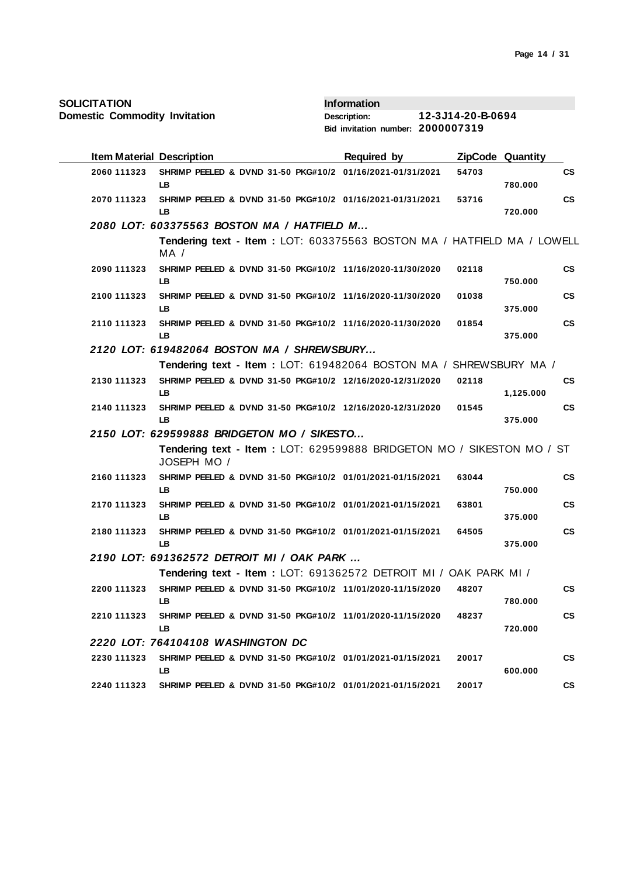| <b>SOLICITATION</b> |  |
|---------------------|--|
|---------------------|--|

| <b>Item Material Description</b> |                                                                                      | <b>Required by</b> |       | <b>ZipCode Quantity</b> |               |
|----------------------------------|--------------------------------------------------------------------------------------|--------------------|-------|-------------------------|---------------|
| 2060 111323                      | SHRIMP PEELED & DVND 31-50 PKG#10/2 01/16/2021-01/31/2021<br>LB.                     |                    | 54703 | 780.000                 | <b>CS</b>     |
| 2070 111323                      | SHRIMP PEELED & DVND 31-50 PKG#10/2 01/16/2021-01/31/2021<br>LB.                     |                    | 53716 | 720.000                 | $\mathsf{cs}$ |
|                                  | 2080 LOT: 603375563 BOSTON MA / HATFIELD M                                           |                    |       |                         |               |
|                                  | Tendering text - Item: LOT: 603375563 BOSTON MA / HATFIELD MA / LOWELL<br>MA /       |                    |       |                         |               |
| 2090 111323                      | SHRIMP PEELED & DVND 31-50 PKG#10/2 11/16/2020-11/30/2020<br>LB                      |                    | 02118 | 750.000                 | <b>CS</b>     |
| 2100 111323                      | SHRIMP PEELED & DVND 31-50 PKG#10/2 11/16/2020-11/30/2020<br>LB                      |                    | 01038 | 375.000                 | $\mathsf{cs}$ |
| 2110 111323                      | SHRIMP PEELED & DVND 31-50 PKG#10/2 11/16/2020-11/30/2020<br>LB                      |                    | 01854 | 375.000                 | $\mathsf{cs}$ |
|                                  | 2120 LOT: 619482064 BOSTON MA / SHREWSBURY                                           |                    |       |                         |               |
|                                  | Tendering text - Item: LOT: 619482064 BOSTON MA / SHREWSBURY MA /                    |                    |       |                         |               |
| 2130 111323                      | SHRIMP PEELED & DVND 31-50 PKG#10/2 12/16/2020-12/31/2020<br>LB.                     |                    | 02118 | 1,125.000               | <b>CS</b>     |
| 2140 111323                      | SHRIMP PEELED & DVND 31-50 PKG#10/2 12/16/2020-12/31/2020<br><b>LB</b>               |                    | 01545 | 375.000                 | <b>CS</b>     |
|                                  | 2150 LOT: 629599888 BRIDGETON MO / SIKESTO                                           |                    |       |                         |               |
|                                  | Tendering text - Item: LOT: 629599888 BRIDGETON MO / SIKESTON MO / ST<br>JOSEPH MO / |                    |       |                         |               |
| 2160 111323                      | SHRIMP PEELED & DVND 31-50 PKG#10/2 01/01/2021-01/15/2021<br>LB.                     |                    | 63044 | 750.000                 | <b>CS</b>     |
| 2170 111323                      | SHRIMP PEELED & DVND 31-50 PKG#10/2 01/01/2021-01/15/2021<br>LB.                     |                    | 63801 | 375.000                 | <b>CS</b>     |
| 2180 111323                      | SHRIMP PEELED & DVND 31-50 PKG#10/2 01/01/2021-01/15/2021<br>LB                      |                    | 64505 | 375.000                 | <b>CS</b>     |
|                                  | 2190 LOT: 691362572 DETROIT MI / OAK PARK                                            |                    |       |                         |               |
|                                  | Tendering text - Item: LOT: 691362572 DETROIT MI / OAK PARK MI /                     |                    |       |                         |               |
| 2200 111323                      | SHRIMP PEELED & DVND 31-50 PKG#10/2 11/01/2020-11/15/2020<br>LB.                     |                    | 48207 | 780.000                 | <b>CS</b>     |
| 2210 111323                      | SHRIMP PEELED & DVND 31-50 PKG#10/2 11/01/2020-11/15/2020<br>LB.                     |                    | 48237 | 720.000                 | <b>CS</b>     |
|                                  | 2220 LOT: 764104108 WASHINGTON DC                                                    |                    |       |                         |               |
| 2230 111323                      | SHRIMP PEELED & DVND 31-50 PKG#10/2 01/01/2021-01/15/2021<br>LB                      |                    | 20017 | 600.000                 | <b>CS</b>     |
| 2240 111323                      | SHRIMP PEELED & DVND 31-50 PKG#10/2 01/01/2021-01/15/2021                            |                    | 20017 |                         | <b>CS</b>     |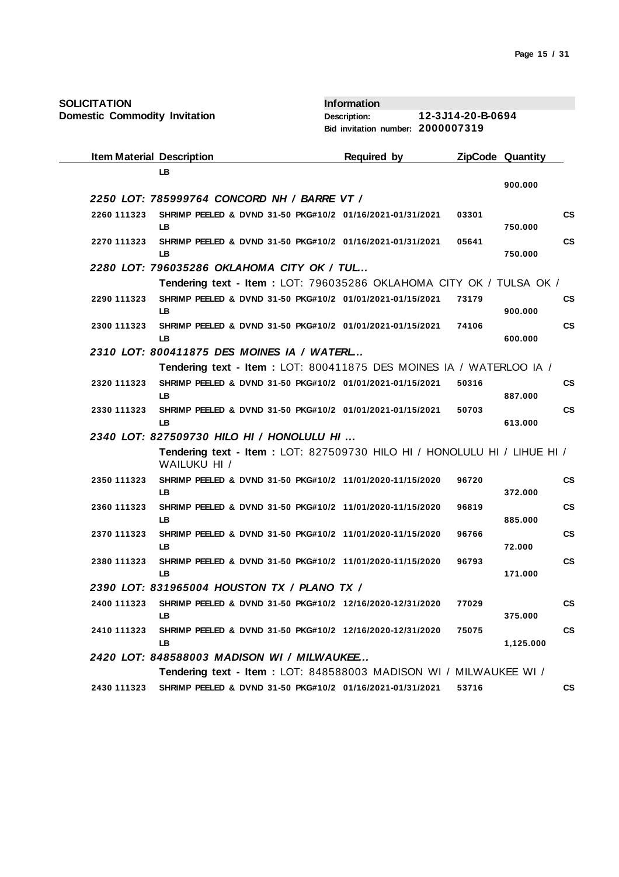| <b>SOLICITATION</b>                  |                                                                          | <b>Information</b>                |                   |                         |
|--------------------------------------|--------------------------------------------------------------------------|-----------------------------------|-------------------|-------------------------|
| <b>Domestic Commodity Invitation</b> |                                                                          | <b>Description:</b>               | 12-3J14-20-B-0694 |                         |
|                                      |                                                                          | Bid invitation number: 2000007319 |                   |                         |
| <b>Item Material Description</b>     |                                                                          | Required by                       |                   | <b>ZipCode Quantity</b> |
|                                      | <b>LB</b>                                                                |                                   |                   |                         |
|                                      | 2250 LOT: 785999764 CONCORD NH / BARRE VT /                              |                                   |                   | 900.000                 |
| 2260 111323                          | SHRIMP PEELED & DVND 31-50 PKG#10/2 01/16/2021-01/31/2021                |                                   | 03301             | <b>CS</b>               |
|                                      | LB                                                                       |                                   |                   | 750.000                 |
| 2270 111323                          | SHRIMP PEELED & DVND 31-50 PKG#10/2 01/16/2021-01/31/2021<br>LB          |                                   | 05641             | <b>CS</b><br>750.000    |
|                                      | 2280 LOT: 796035286 OKLAHOMA CITY OK / TUL                               |                                   |                   |                         |
|                                      | Tendering text - Item: LOT: 796035286 OKLAHOMA CITY OK / TULSA OK /      |                                   |                   |                         |
| 2290 111323                          | SHRIMP PEELED & DVND 31-50 PKG#10/2 01/01/2021-01/15/2021                |                                   | 73179             | <b>CS</b>               |
|                                      | LB                                                                       |                                   |                   | 900.000                 |
| 2300 111323                          | SHRIMP PEELED & DVND 31-50 PKG#10/2 01/01/2021-01/15/2021<br>LВ          |                                   | 74106             | <b>CS</b><br>600.000    |
|                                      | 2310 LOT: 800411875 DES MOINES IA / WATERL                               |                                   |                   |                         |
|                                      | Tendering text - Item: LOT: 800411875 DES MOINES IA / WATERLOO IA /      |                                   |                   |                         |
| 2320 111323                          | SHRIMP PEELED & DVND 31-50 PKG#10/2 01/01/2021-01/15/2021                |                                   | 50316             | <b>CS</b>               |
|                                      | LB                                                                       |                                   |                   | 887.000                 |
| 2330 111323                          | SHRIMP PEELED & DVND 31-50 PKG#10/2 01/01/2021-01/15/2021                |                                   | 50703             | <b>CS</b>               |
|                                      | LB.<br>2340 LOT: 827509730 HILO HI / HONOLULU HI                         |                                   |                   | 613.000                 |
|                                      | Tendering text - Item: LOT: 827509730 HILO HI / HONOLULU HI / LIHUE HI / |                                   |                   |                         |
|                                      | WAILUKU HI /                                                             |                                   |                   |                         |
| 2350 111323                          | SHRIMP PEELED & DVND 31-50 PKG#10/2 11/01/2020-11/15/2020                |                                   | 96720             | <b>CS</b>               |
|                                      | <b>LB</b>                                                                |                                   |                   | 372.000                 |
| 2360 111323                          | SHRIMP PEELED & DVND 31-50 PKG#10/2 11/01/2020-11/15/2020<br>LВ          |                                   | 96819             | <b>CS</b>               |
| 2370 111323                          | SHRIMP PEELED & DVND 31-50 PKG#10/2 11/01/2020-11/15/2020                |                                   | 96766             | 885.000<br><b>CS</b>    |
|                                      | LB                                                                       |                                   |                   | 72.000                  |
| 2380 111323                          | SHRIMP PEELED & DVND 31-50 PKG#10/2 11/01/2020-11/15/2020                |                                   | 96793             | <b>CS</b>               |
|                                      | LВ                                                                       |                                   |                   | 171.000                 |
|                                      | 2390 LOT: 831965004 HOUSTON TX / PLANO TX /                              |                                   |                   |                         |
| 2400 111323                          | SHRIMP PEELED & DVND 31-50 PKG#10/2 12/16/2020-12/31/2020<br>LВ          |                                   | 77029             | <b>CS</b><br>375.000    |
| 2410 111323                          | SHRIMP PEELED & DVND 31-50 PKG#10/2 12/16/2020-12/31/2020                |                                   | 75075             | <b>CS</b>               |
|                                      | LВ                                                                       |                                   |                   | 1,125.000               |
|                                      | 2420 LOT: 848588003 MADISON WI / MILWAUKEE                               |                                   |                   |                         |
|                                      | Tendering text - Item: LOT: 848588003 MADISON WI / MILWAUKEE WI /        |                                   |                   |                         |
| 2430 111323                          | SHRIMP PEELED & DVND 31-50 PKG#10/2 01/16/2021-01/31/2021                |                                   | 53716             | CS                      |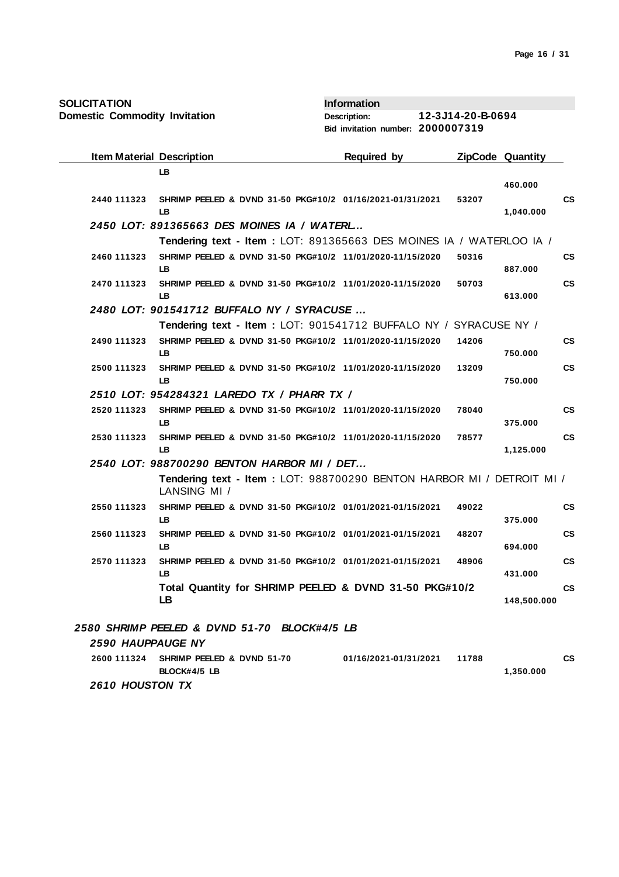| <b>SOLICITATION</b>                  |                                                                                       | <b>Information</b>                |                   |                          |
|--------------------------------------|---------------------------------------------------------------------------------------|-----------------------------------|-------------------|--------------------------|
| <b>Domestic Commodity Invitation</b> |                                                                                       | Description:                      | 12-3J14-20-B-0694 |                          |
|                                      |                                                                                       | Bid invitation number: 2000007319 |                   |                          |
| <b>Item Material Description</b>     |                                                                                       | Required by                       |                   | <b>ZipCode Quantity</b>  |
|                                      | LB                                                                                    |                                   |                   |                          |
|                                      |                                                                                       |                                   |                   | 460.000                  |
| 2440 111323                          | SHRIMP PEELED & DVND 31-50 PKG#10/2 01/16/2021-01/31/2021<br>LB                       |                                   | 53207             | <b>CS</b><br>1,040.000   |
|                                      | 2450 LOT: 891365663 DES MOINES IA / WATERL                                            |                                   |                   |                          |
|                                      | Tendering text - Item: LOT: 891365663 DES MOINES IA / WATERLOO IA /                   |                                   |                   |                          |
| 2460 111323                          | SHRIMP PEELED & DVND 31-50 PKG#10/2 11/01/2020-11/15/2020<br>LB.                      |                                   | 50316             | <b>CS</b><br>887.000     |
| 2470 111323                          | SHRIMP PEELED & DVND 31-50 PKG#10/2 11/01/2020-11/15/2020<br>LB                       |                                   | 50703             | <b>CS</b><br>613.000     |
|                                      | 2480 LOT: 901541712 BUFFALO NY / SYRACUSE                                             |                                   |                   |                          |
|                                      | Tendering text - Item: LOT: 901541712 BUFFALO NY / SYRACUSE NY /                      |                                   |                   |                          |
| 2490 111323                          | SHRIMP PEELED & DVND 31-50 PKG#10/2 11/01/2020-11/15/2020<br><b>LB</b>                |                                   | 14206             | <b>CS</b><br>750.000     |
| 2500 111323                          | SHRIMP PEELED & DVND 31-50 PKG#10/2 11/01/2020-11/15/2020<br>LB.                      |                                   | 13209             | <b>CS</b><br>750.000     |
|                                      | 2510 LOT: 954284321 LAREDO TX / PHARR TX /                                            |                                   |                   |                          |
| 2520 111323                          | SHRIMP PEELED & DVND 31-50 PKG#10/2 11/01/2020-11/15/2020                             |                                   | 78040             | <b>CS</b>                |
|                                      | LB                                                                                    |                                   |                   | 375.000                  |
| 2530 111323                          | SHRIMP PEELED & DVND 31-50 PKG#10/2 11/01/2020-11/15/2020<br><b>LB</b>                |                                   | 78577             | <b>CS</b><br>1,125.000   |
|                                      | 2540 LOT: 988700290 BENTON HARBOR MI / DET                                            |                                   |                   |                          |
|                                      | Tendering text - Item: LOT: 988700290 BENTON HARBOR MI / DETROIT MI /<br>LANSING MI / |                                   |                   |                          |
| 2550 111323                          | SHRIMP PEELED & DVND 31-50 PKG#10/2 01/01/2021-01/15/2021<br><b>LB</b>                |                                   | 49022             | <b>CS</b><br>375.000     |
| 2560 111323                          | SHRIMP PEELED & DVND 31-50 PKG#10/2 01/01/2021-01/15/2021                             |                                   | 48207             | <b>CS</b>                |
|                                      | LB                                                                                    |                                   |                   | 694.000                  |
| 2570 111323                          | SHRIMP PEELED & DVND 31-50 PKG#10/2 01/01/2021-01/15/2021<br>LB.                      |                                   | 48906             | <b>CS</b><br>431.000     |
|                                      | Total Quantity for SHRIMP PEELED & DVND 31-50 PKG#10/2<br>LB                          |                                   |                   | <b>CS</b><br>148,500.000 |
|                                      | 2580 SHRIMP PEELED & DVND 51-70 BLOCK#4/5 LB                                          |                                   |                   |                          |
| 2590 HAUPPAUGE NY                    |                                                                                       |                                   |                   |                          |
| 2600 111324                          | SHRIMP PEELED & DVND 51-70                                                            |                                   | 11788             | CS                       |
|                                      | BLOCK#4/5 LB                                                                          | 01/16/2021-01/31/2021             |                   | 1,350.000                |

 *2610 HOUSTON TX*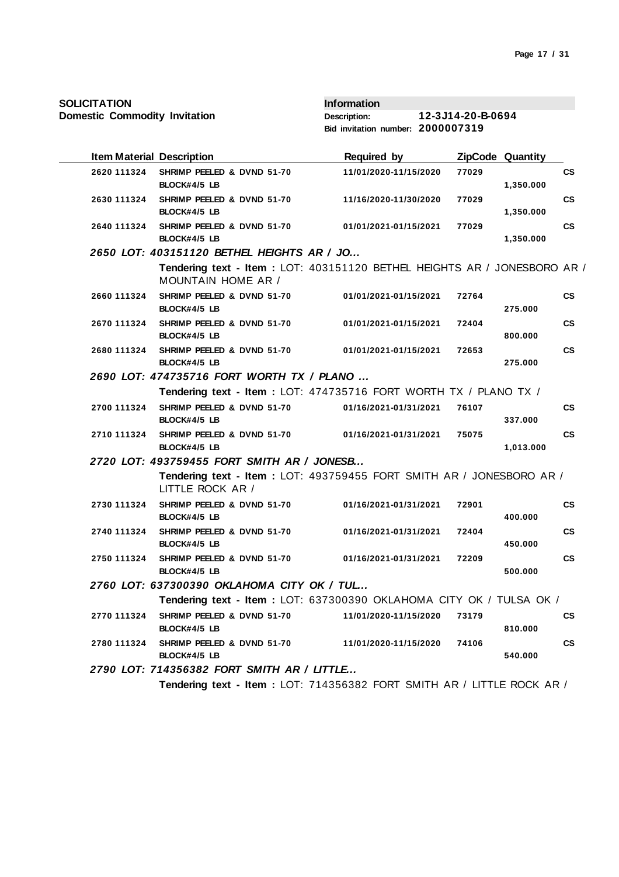| <b>Item Material Description</b> |                                                                                                 | <b>Required by</b>    |       | <b>ZipCode Quantity</b> |           |
|----------------------------------|-------------------------------------------------------------------------------------------------|-----------------------|-------|-------------------------|-----------|
| 2620 111324                      | SHRIMP PEELED & DVND 51-70<br>BLOCK#4/5 LB                                                      | 11/01/2020-11/15/2020 | 77029 | 1,350.000               | <b>CS</b> |
| 2630 111324                      | SHRIMP PEELED & DVND 51-70<br>BLOCK#4/5 LB                                                      | 11/16/2020-11/30/2020 | 77029 | 1,350.000               | <b>CS</b> |
| 2640 111324                      | SHRIMP PEELED & DVND 51-70<br>BLOCK#4/5 LB                                                      | 01/01/2021-01/15/2021 | 77029 | 1,350.000               | <b>CS</b> |
|                                  | 2650 LOT: 403151120 BETHEL HEIGHTS AR / JO                                                      |                       |       |                         |           |
|                                  | Tendering text - Item : LOT: 403151120 BETHEL HEIGHTS AR / JONESBORO AR /<br>MOUNTAIN HOME AR / |                       |       |                         |           |
| 2660 111324                      | SHRIMP PEELED & DVND 51-70<br>BLOCK#4/5 LB                                                      | 01/01/2021-01/15/2021 | 72764 | 275.000                 | <b>CS</b> |
| 2670 111324                      | SHRIMP PEELED & DVND 51-70<br>BLOCK#4/5 LB                                                      | 01/01/2021-01/15/2021 | 72404 | 800,000                 | <b>CS</b> |
| 2680 111324                      | SHRIMP PEELED & DVND 51-70<br>BLOCK#4/5 LB                                                      | 01/01/2021-01/15/2021 | 72653 | 275.000                 | <b>CS</b> |
|                                  | 2690 LOT: 474735716 FORT WORTH TX / PLANO                                                       |                       |       |                         |           |
|                                  | Tendering text - Item: LOT: 474735716 FORT WORTH TX / PLANO TX /                                |                       |       |                         |           |
| 2700 111324                      | SHRIMP PEELED & DVND 51-70<br>BLOCK#4/5 LB                                                      | 01/16/2021-01/31/2021 | 76107 | 337.000                 | <b>CS</b> |
| 2710 111324                      | SHRIMP PEELED & DVND 51-70<br>BLOCK#4/5 LB                                                      | 01/16/2021-01/31/2021 | 75075 | 1,013.000               | <b>CS</b> |
|                                  | 2720 LOT: 493759455 FORT SMITH AR / JONESB                                                      |                       |       |                         |           |
|                                  | Tendering text - Item: LOT: 493759455 FORT SMITH AR / JONESBORO AR /<br>LITTLE ROCK AR /        |                       |       |                         |           |
| 2730 111324                      | SHRIMP PEELED & DVND 51-70<br>BLOCK#4/5 LB                                                      | 01/16/2021-01/31/2021 | 72901 | 400.000                 | <b>CS</b> |
| 2740 111324                      | SHRIMP PEELED & DVND 51-70<br>BLOCK#4/5 LB                                                      | 01/16/2021-01/31/2021 | 72404 | 450.000                 | <b>CS</b> |
| 2750 111324                      | SHRIMP PEELED & DVND 51-70<br>BLOCK#4/5 LB                                                      | 01/16/2021-01/31/2021 | 72209 | 500.000                 | <b>CS</b> |
|                                  | 2760 LOT: 637300390 OKLAHOMA CITY OK / TUL                                                      |                       |       |                         |           |
|                                  | Tendering text - Item : LOT: 637300390 OKLAHOMA CITY OK / TULSA OK /                            |                       |       |                         |           |
| 2770 111324                      | SHRIMP PEELED & DVND 51-70<br>BLOCK#4/5 LB                                                      | 11/01/2020-11/15/2020 | 73179 | 810.000                 | <b>CS</b> |
| 2780 111324                      | SHRIMP PEELED & DVND 51-70<br>BLOCK#4/5 LB                                                      | 11/01/2020-11/15/2020 | 74106 | 540.000                 | <b>CS</b> |
|                                  | 2790 LOT: 714356382 FORT SMITH AR / LITTLE                                                      |                       |       |                         |           |
|                                  | Tendering text - Item: LOT: 714356382 FORT SMITH AR / LITTLE ROCK AR /                          |                       |       |                         |           |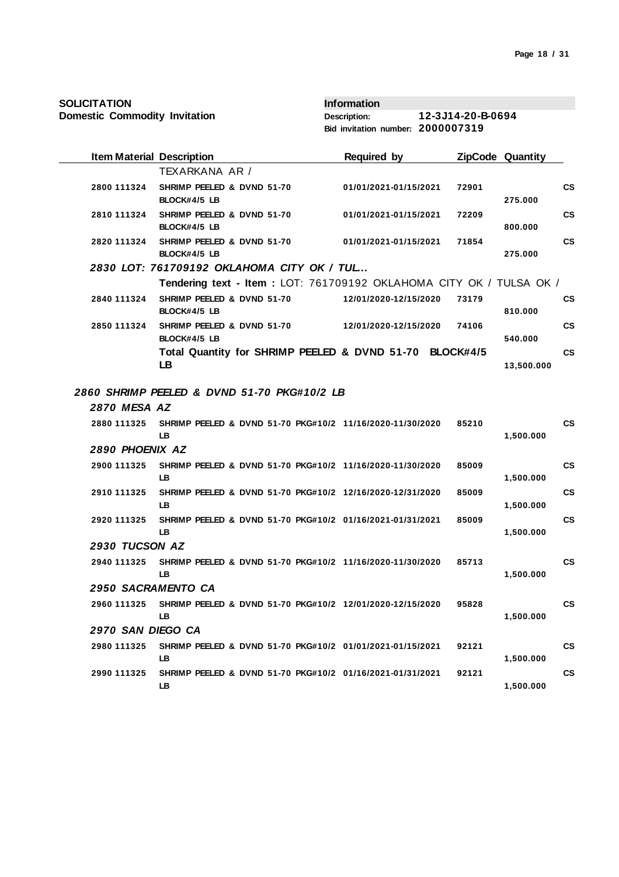| <b>SOLICITATION</b> |  |  |
|---------------------|--|--|
|                     |  |  |

| <b>Item Material Description</b> |                                                                        | <b>Required by</b>    |       | ZipCode Quantity |           |
|----------------------------------|------------------------------------------------------------------------|-----------------------|-------|------------------|-----------|
|                                  | TEXARKANA AR /                                                         |                       |       |                  |           |
| 2800 111324                      | SHRIMP PEELED & DVND 51-70<br>BLOCK#4/5 LB                             | 01/01/2021-01/15/2021 | 72901 | 275.000          | <b>CS</b> |
| 2810 111324                      | SHRIMP PEELED & DVND 51-70<br>BLOCK#4/5 LB                             | 01/01/2021-01/15/2021 | 72209 | 800,000          | <b>CS</b> |
| 2820 111324                      | SHRIMP PEELED & DVND 51-70<br>BLOCK#4/5 LB                             | 01/01/2021-01/15/2021 | 71854 | 275.000          | <b>CS</b> |
|                                  | 2830 LOT: 761709192 OKLAHOMA CITY OK / TUL                             |                       |       |                  |           |
|                                  | Tendering text - Item : LOT: 761709192 OKLAHOMA CITY OK / TULSA OK /   |                       |       |                  |           |
| 2840 111324                      | SHRIMP PEELED & DVND 51-70<br>BLOCK#4/5 LB                             | 12/01/2020-12/15/2020 | 73179 | 810.000          | <b>CS</b> |
| 2850 111324                      | SHRIMP PEELED & DVND 51-70<br>BLOCK#4/5 LB                             | 12/01/2020-12/15/2020 | 74106 | 540.000          | <b>CS</b> |
|                                  | Total Quantity for SHRIMP PEELED & DVND 51-70 BLOCK#4/5<br>LB          |                       |       | 13,500.000       | <b>CS</b> |
|                                  | 2860 SHRIMP PEELED & DVND 51-70 PKG#10/2 LB                            |                       |       |                  |           |
| <b>2870 MESA AZ</b>              |                                                                        |                       |       |                  |           |
| 2880 111325                      | SHRIMP PEELED & DVND 51-70 PKG#10/2 11/16/2020-11/30/2020<br>LB        |                       | 85210 | 1,500.000        | <b>CS</b> |
| 2890 PHOENIX AZ                  |                                                                        |                       |       |                  |           |
| 2900 111325                      | SHRIMP PEELED & DVND 51-70 PKG#10/2 11/16/2020-11/30/2020<br>LB.       |                       | 85009 | 1,500.000        | <b>CS</b> |
| 2910 111325                      | SHRIMP PEELED & DVND 51-70 PKG#10/2 12/16/2020-12/31/2020<br>LB.       |                       | 85009 | 1,500.000        | CS        |
| 2920 111325                      | SHRIMP PEELED & DVND 51-70 PKG#10/2 01/16/2021-01/31/2021<br>LB        |                       | 85009 | 1,500.000        | <b>CS</b> |
| 2930 TUCSON AZ                   |                                                                        |                       |       |                  |           |
| 2940 111325                      | SHRIMP PEELED & DVND 51-70 PKG#10/2 11/16/2020-11/30/2020<br>LB        |                       | 85713 | 1,500.000        | <b>CS</b> |
| 2950 SACRAMENTO CA               |                                                                        |                       |       |                  |           |
| 2960 111325                      | SHRIMP PEELED & DVND 51-70 PKG#10/2 12/01/2020-12/15/2020<br><b>LB</b> |                       | 95828 | 1,500.000        | <b>CS</b> |
| <b>2970 SAN DIEGO CA</b>         |                                                                        |                       |       |                  |           |
| 2980 111325                      | SHRIMP PEELED & DVND 51-70 PKG#10/2 01/01/2021-01/15/2021<br>LB.       |                       | 92121 | 1,500.000        | <b>CS</b> |
| 2990 111325                      | SHRIMP PEELED & DVND 51-70 PKG#10/2 01/16/2021-01/31/2021<br>LB        |                       | 92121 | 1,500.000        | <b>CS</b> |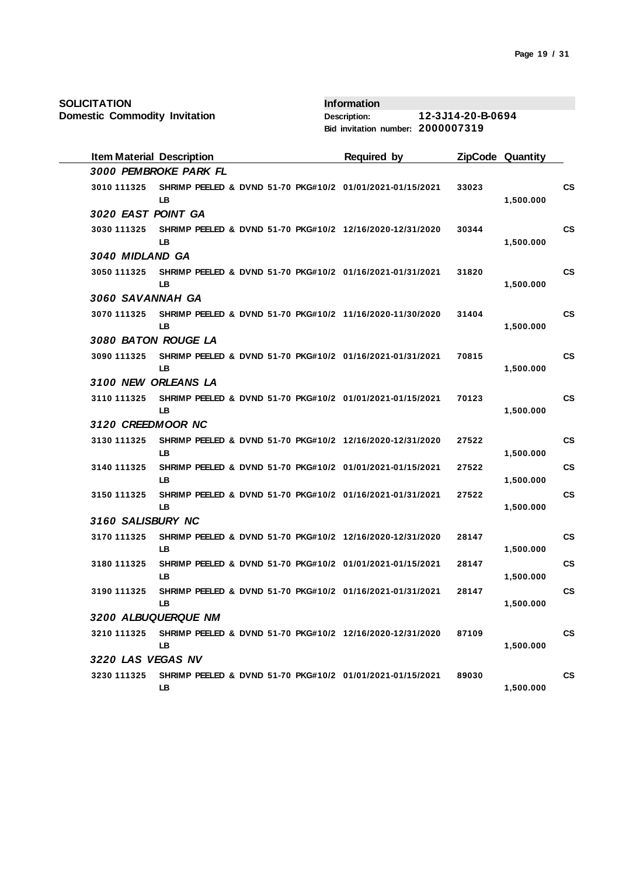| <b>Item Material Description</b> |                       |  | <b>Required by</b>                                        |       | ZipCode Quantity |               |
|----------------------------------|-----------------------|--|-----------------------------------------------------------|-------|------------------|---------------|
|                                  | 3000 PEMBROKE PARK FL |  |                                                           |       |                  |               |
| 3010 111325                      | <b>LB</b>             |  | SHRIMP PEELED & DVND 51-70 PKG#10/2 01/01/2021-01/15/2021 | 33023 | 1,500.000        | <b>CS</b>     |
| 3020 EAST POINT GA               |                       |  |                                                           |       |                  |               |
| 3030 111325                      | LB                    |  | SHRIMP PEELED & DVND 51-70 PKG#10/2 12/16/2020-12/31/2020 | 30344 | 1,500.000        | <b>CS</b>     |
| 3040 MIDLAND GA                  |                       |  |                                                           |       |                  |               |
| 3050 111325                      | LB                    |  | SHRIMP PEELED & DVND 51-70 PKG#10/2 01/16/2021-01/31/2021 | 31820 | 1,500.000        | <b>CS</b>     |
| 3060 SAVANNAH GA                 |                       |  |                                                           |       |                  |               |
| 3070 111325                      | LB                    |  | SHRIMP PEELED & DVND 51-70 PKG#10/2 11/16/2020-11/30/2020 | 31404 | 1,500.000        | <b>CS</b>     |
|                                  | 3080 BATON ROUGE LA   |  |                                                           |       |                  |               |
| 3090 111325                      | LB.                   |  | SHRIMP PEELED & DVND 51-70 PKG#10/2 01/16/2021-01/31/2021 | 70815 | 1,500.000        | <b>CS</b>     |
|                                  | 3100 NEW ORLEANS LA   |  |                                                           |       |                  |               |
| 3110 111325                      | <b>LB</b>             |  | SHRIMP PEELED & DVND 51-70 PKG#10/2 01/01/2021-01/15/2021 | 70123 | 1,500.000        | <b>CS</b>     |
| 3120 CREEDMOOR NC                |                       |  |                                                           |       |                  |               |
| 3130 111325                      | LB.                   |  | SHRIMP PEELED & DVND 51-70 PKG#10/2 12/16/2020-12/31/2020 | 27522 | 1,500.000        | <b>CS</b>     |
| 3140 111325                      | LB.                   |  | SHRIMP PEELED & DVND 51-70 PKG#10/2 01/01/2021-01/15/2021 | 27522 | 1,500.000        | <b>CS</b>     |
| 3150 111325                      | LB.                   |  | SHRIMP PEELED & DVND 51-70 PKG#10/2 01/16/2021-01/31/2021 | 27522 | 1,500.000        | <b>CS</b>     |
| 3160 SALISBURY NC                |                       |  |                                                           |       |                  |               |
| 3170 111325                      | LB.                   |  | SHRIMP PEELED & DVND 51-70 PKG#10/2 12/16/2020-12/31/2020 | 28147 | 1,500.000        | $\mathsf{cs}$ |
| 3180 111325                      | <b>LB</b>             |  | SHRIMP PEELED & DVND 51-70 PKG#10/2 01/01/2021-01/15/2021 | 28147 | 1,500.000        | <b>CS</b>     |
| 3190 111325                      | LВ                    |  | SHRIMP PEELED & DVND 51-70 PKG#10/2 01/16/2021-01/31/2021 | 28147 | 1,500.000        | <b>CS</b>     |
|                                  | 3200 ALBUQUERQUE NM   |  |                                                           |       |                  |               |
| 3210 111325                      | <b>LB</b>             |  | SHRIMP PEELED & DVND 51-70 PKG#10/2 12/16/2020-12/31/2020 | 87109 | 1,500.000        | <b>CS</b>     |
| 3220 LAS VEGAS NV                |                       |  |                                                           |       |                  |               |
| 3230 111325                      | LB                    |  | SHRIMP PEELED & DVND 51-70 PKG#10/2 01/01/2021-01/15/2021 | 89030 | 1,500.000        | <b>CS</b>     |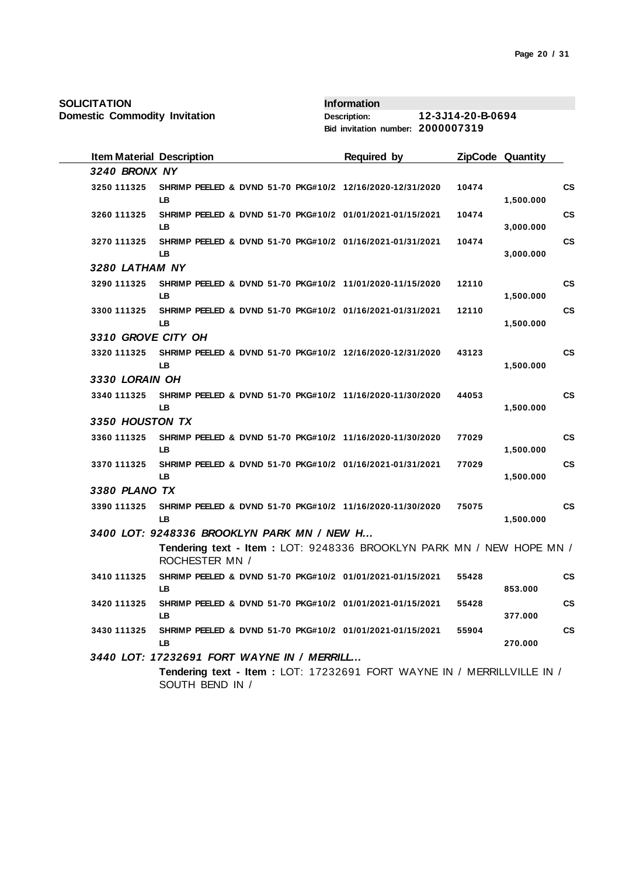| <b>Item Material Description</b> |                                                                                           | <b>Required by</b> |       | <b>ZipCode Quantity</b> |           |  |  |  |
|----------------------------------|-------------------------------------------------------------------------------------------|--------------------|-------|-------------------------|-----------|--|--|--|
| 3240 BRONX NY                    |                                                                                           |                    |       |                         |           |  |  |  |
| 3250 111325                      | SHRIMP PEELED & DVND 51-70 PKG#10/2 12/16/2020-12/31/2020<br>LB                           |                    | 10474 | 1,500.000               | <b>CS</b> |  |  |  |
| 3260 111325                      | SHRIMP PEELED & DVND 51-70 PKG#10/2 01/01/2021-01/15/2021<br><b>LB</b>                    |                    | 10474 | 3,000.000               | <b>CS</b> |  |  |  |
| 3270 111325                      | SHRIMP PEELED & DVND 51-70 PKG#10/2 01/16/2021-01/31/2021<br>LB                           |                    | 10474 | 3,000.000               | <b>CS</b> |  |  |  |
| 3280 LATHAM NY                   |                                                                                           |                    |       |                         |           |  |  |  |
| 3290 111325                      | SHRIMP PEELED & DVND 51-70 PKG#10/2 11/01/2020-11/15/2020<br>LB.                          |                    | 12110 | 1,500.000               | <b>CS</b> |  |  |  |
| 3300 111325                      | SHRIMP PEELED & DVND 51-70 PKG#10/2 01/16/2021-01/31/2021<br><b>LB</b>                    |                    | 12110 | 1,500.000               | <b>CS</b> |  |  |  |
| 3310 GROVE CITY OH               |                                                                                           |                    |       |                         |           |  |  |  |
| 3320 111325                      | SHRIMP PEELED & DVND 51-70 PKG#10/2 12/16/2020-12/31/2020<br><b>LB</b>                    |                    | 43123 | 1,500.000               | <b>CS</b> |  |  |  |
| 3330 LORAIN OH                   |                                                                                           |                    |       |                         |           |  |  |  |
| 3340 111325                      | SHRIMP PEELED & DVND 51-70 PKG#10/2 11/16/2020-11/30/2020<br><b>LB</b>                    |                    | 44053 | 1,500.000               | <b>CS</b> |  |  |  |
| 3350 HOUSTON TX                  |                                                                                           |                    |       |                         |           |  |  |  |
| 3360 111325                      | SHRIMP PEELED & DVND 51-70 PKG#10/2 11/16/2020-11/30/2020<br>LB.                          |                    | 77029 | 1,500.000               | <b>CS</b> |  |  |  |
| 3370 111325                      | SHRIMP PEELED & DVND 51-70 PKG#10/2 01/16/2021-01/31/2021<br>LB.                          |                    | 77029 | 1,500.000               | <b>CS</b> |  |  |  |
| 3380 PLANO TX                    |                                                                                           |                    |       |                         |           |  |  |  |
| 3390 111325                      | SHRIMP PEELED & DVND 51-70 PKG#10/2 11/16/2020-11/30/2020<br>LB.                          |                    | 75075 | 1,500.000               | <b>CS</b> |  |  |  |
|                                  | 3400 LOT: 9248336 BROOKLYN PARK MN / NEW H                                                |                    |       |                         |           |  |  |  |
|                                  | Tendering text - Item: LOT: 9248336 BROOKLYN PARK MN / NEW HOPE MN /<br>ROCHESTER MN /    |                    |       |                         |           |  |  |  |
| 3410 111325                      | SHRIMP PEELED & DVND 51-70 PKG#10/2 01/01/2021-01/15/2021<br><b>LB</b>                    |                    | 55428 | 853.000                 | <b>CS</b> |  |  |  |
| 3420 111325                      | SHRIMP PEELED & DVND 51-70 PKG#10/2 01/01/2021-01/15/2021<br>LB.                          |                    | 55428 | 377.000                 | CS        |  |  |  |
| 3430 111325                      | SHRIMP PEELED & DVND 51-70 PKG#10/2 01/01/2021-01/15/2021<br>LB.                          |                    | 55904 | 270.000                 | <b>CS</b> |  |  |  |
|                                  | 3440 LOT: 17232691 FORT WAYNE IN / MERRILL                                                |                    |       |                         |           |  |  |  |
|                                  | Tendering text - Item: LOT: 17232691 FORT WAYNE IN / MERRILLVILLE IN /<br>SOUTH BEND IN / |                    |       |                         |           |  |  |  |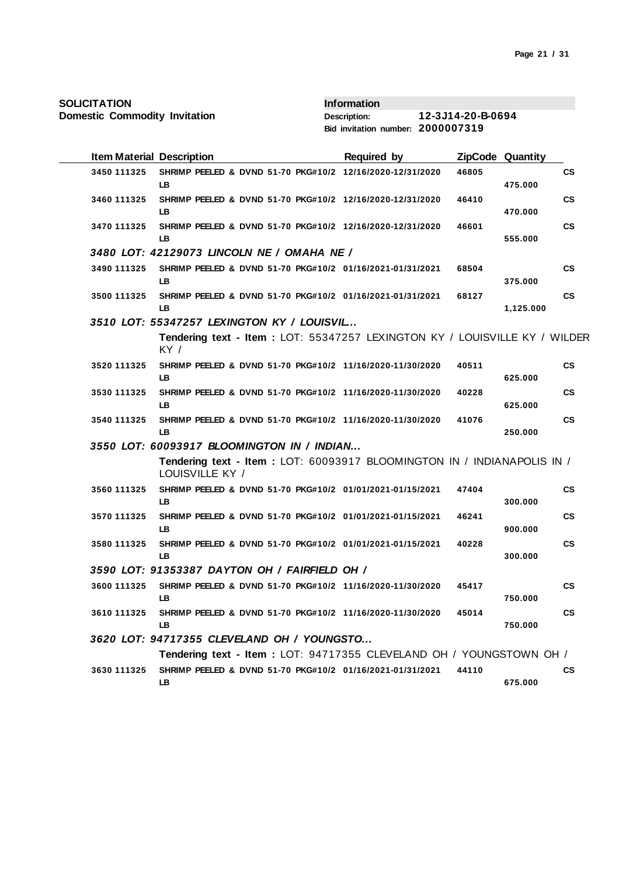| <b>Item Material Description</b> |                                                                                            | <b>Required by</b> |       | ZipCode Quantity |           |
|----------------------------------|--------------------------------------------------------------------------------------------|--------------------|-------|------------------|-----------|
| 3450 111325                      | SHRIMP PEELED & DVND 51-70 PKG#10/2 12/16/2020-12/31/2020<br>LB.                           |                    | 46805 | 475.000          | CS        |
| 3460 111325                      | SHRIMP PEELED & DVND 51-70 PKG#10/2 12/16/2020-12/31/2020<br>LB.                           |                    | 46410 | 470.000          | <b>CS</b> |
| 3470 111325                      | SHRIMP PEELED & DVND 51-70 PKG#10/2 12/16/2020-12/31/2020<br><b>LB</b>                     |                    | 46601 | 555.000          | <b>CS</b> |
|                                  | 3480 LOT: 42129073 LINCOLN NE / OMAHA NE /                                                 |                    |       |                  |           |
| 3490 111325                      | SHRIMP PEELED & DVND 51-70 PKG#10/2 01/16/2021-01/31/2021<br>LB.                           |                    | 68504 | 375.000          | <b>CS</b> |
| 3500 111325                      | SHRIMP PEELED & DVND 51-70 PKG#10/2 01/16/2021-01/31/2021<br>LB.                           |                    | 68127 | 1,125.000        | <b>CS</b> |
|                                  | 3510 LOT: 55347257 LEXINGTON KY / LOUISVIL                                                 |                    |       |                  |           |
|                                  | Tendering text - Item : LOT: 55347257 LEXINGTON KY / LOUISVILLE KY / WILDER<br>KY/         |                    |       |                  |           |
| 3520 111325                      | SHRIMP PEELED & DVND 51-70 PKG#10/2 11/16/2020-11/30/2020<br>LB.                           |                    | 40511 | 625.000          | <b>CS</b> |
| 3530 111325                      | SHRIMP PEELED & DVND 51-70 PKG#10/2 11/16/2020-11/30/2020<br><b>LB</b>                     |                    | 40228 | 625.000          | <b>CS</b> |
| 3540 111325                      | SHRIMP PEELED & DVND 51-70 PKG#10/2 11/16/2020-11/30/2020<br><b>LB</b>                     |                    | 41076 | 250.000          | <b>CS</b> |
|                                  | 3550 LOT: 60093917 BLOOMINGTON IN / INDIAN                                                 |                    |       |                  |           |
|                                  | Tendering text - Item: LOT: 60093917 BLOOMINGTON IN / INDIANAPOLIS IN /<br>LOUISVILLE KY / |                    |       |                  |           |
| 3560 111325                      | SHRIMP PEELED & DVND 51-70 PKG#10/2 01/01/2021-01/15/2021<br>LB.                           |                    | 47404 | 300.000          | <b>CS</b> |
| 3570 111325                      | SHRIMP PEELED & DVND 51-70 PKG#10/2 01/01/2021-01/15/2021<br>LB                            |                    | 46241 | 900.000          | <b>CS</b> |
| 3580 111325                      | SHRIMP PEELED & DVND 51-70 PKG#10/2 01/01/2021-01/15/2021<br><b>LB</b>                     |                    | 40228 | 300.000          | <b>CS</b> |
|                                  | 3590 LOT: 91353387 DAYTON OH / FAIRFIELD OH /                                              |                    |       |                  |           |
| 3600 111325                      | SHRIMP PEELED & DVND 51-70 PKG#10/2 11/16/2020-11/30/2020<br>LB.                           |                    | 45417 | 750.000          | <b>CS</b> |
| 3610 111325                      | SHRIMP PEELED & DVND 51-70 PKG#10/2 11/16/2020-11/30/2020<br>LB                            |                    | 45014 | 750.000          | <b>CS</b> |
|                                  | 3620 LOT: 94717355 CLEVELAND OH / YOUNGSTO                                                 |                    |       |                  |           |
|                                  | Tendering text - Item: LOT: 94717355 CLEVELAND OH / YOUNGSTOWN OH /                        |                    |       |                  |           |
| 3630 111325                      | SHRIMP PEELED & DVND 51-70 PKG#10/2 01/16/2021-01/31/2021<br>LB.                           |                    | 44110 | 675.000          | <b>CS</b> |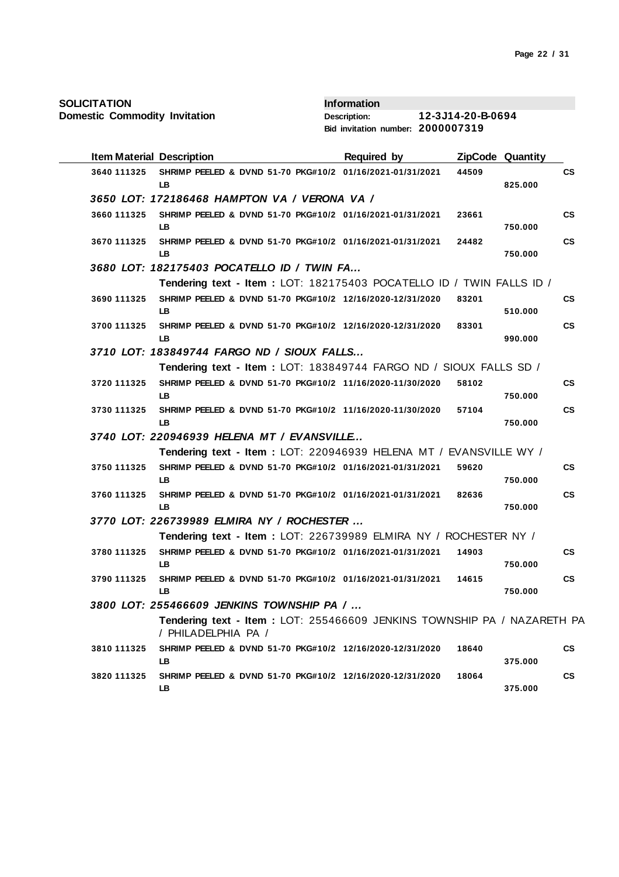**Domestic Commodity Invitation**

| <b>Item Material Description</b> |                                                                                                | <b>Required by</b> |       | ZipCode Quantity |               |
|----------------------------------|------------------------------------------------------------------------------------------------|--------------------|-------|------------------|---------------|
| 3640 111325                      | SHRIMP PEELED & DVND 51-70 PKG#10/2 01/16/2021-01/31/2021<br>LB.                               |                    | 44509 | 825.000          | $\mathsf{cs}$ |
|                                  | 3650 LOT: 172186468 HAMPTON VA / VERONA VA /                                                   |                    |       |                  |               |
| 3660 111325                      | SHRIMP PEELED & DVND 51-70 PKG#10/2 01/16/2021-01/31/2021<br>LB.                               |                    | 23661 | 750.000          | $\mathsf{cs}$ |
| 3670 111325                      | SHRIMP PEELED & DVND 51-70 PKG#10/2 01/16/2021-01/31/2021<br><b>LB</b>                         |                    | 24482 | 750.000          | $\mathsf{cs}$ |
|                                  | 3680 LOT: 182175403 POCATELLO ID / TWIN FA                                                     |                    |       |                  |               |
|                                  | Tendering text - Item: LOT: 182175403 POCATELLO ID / TWIN FALLS ID /                           |                    |       |                  |               |
| 3690 111325                      | SHRIMP PEELED & DVND 51-70 PKG#10/2 12/16/2020-12/31/2020<br>LB                                |                    | 83201 | 510.000          | $\mathsf{cs}$ |
| 3700 111325                      | SHRIMP PEELED & DVND 51-70 PKG#10/2 12/16/2020-12/31/2020<br>LB                                |                    | 83301 | 990.000          | $\mathsf{cs}$ |
|                                  | 3710 LOT: 183849744 FARGO ND / SIOUX FALLS                                                     |                    |       |                  |               |
|                                  | Tendering text - Item: LOT: 183849744 FARGO ND / SIOUX FALLS SD /                              |                    |       |                  |               |
| 3720 111325                      | SHRIMP PEELED & DVND 51-70 PKG#10/2 11/16/2020-11/30/2020<br>LB                                |                    | 58102 | 750.000          | СS            |
| 3730 111325                      | SHRIMP PEELED & DVND 51-70 PKG#10/2 11/16/2020-11/30/2020<br>LB                                |                    | 57104 | 750.000          | CS            |
|                                  | 3740 LOT: 220946939 HELENA MT / EVANSVILLE                                                     |                    |       |                  |               |
|                                  | Tendering text - Item : LOT: 220946939 HELENA MT / EVANSVILLE WY /                             |                    |       |                  |               |
| 3750 111325                      | SHRIMP PEELED & DVND 51-70 PKG#10/2 01/16/2021-01/31/2021<br><b>LB</b>                         |                    | 59620 | 750.000          | <b>CS</b>     |
| 3760 111325                      | SHRIMP PEELED & DVND 51-70 PKG#10/2 01/16/2021-01/31/2021<br>IB.                               |                    | 82636 | 750.000          | <b>CS</b>     |
|                                  | 3770 LOT: 226739989 ELMIRA NY / ROCHESTER                                                      |                    |       |                  |               |
|                                  | Tendering text - Item: LOT: 226739989 ELMIRA NY / ROCHESTER NY /                               |                    |       |                  |               |
| 3780 111325                      | SHRIMP PEELED & DVND 51-70 PKG#10/2 01/16/2021-01/31/2021<br>LB.                               |                    | 14903 | 750.000          | $\mathsf{cs}$ |
| 3790 111325                      | SHRIMP PEELED & DVND 51-70 PKG#10/2 01/16/2021-01/31/2021<br><b>LB</b>                         |                    | 14615 | 750.000          | <b>CS</b>     |
|                                  | 3800 LOT: 255466609 JENKINS TOWNSHIP PA /                                                      |                    |       |                  |               |
|                                  | Tendering text - Item: LOT: 255466609 JENKINS TOWNSHIP PA / NAZARETH PA<br>/ PHILADELPHIA PA / |                    |       |                  |               |
| 3810 111325                      | SHRIMP PEELED & DVND 51-70 PKG#10/2 12/16/2020-12/31/2020<br>LB                                |                    | 18640 | 375.000          | <b>CS</b>     |
| 3820 111325                      | SHRIMP PEELED & DVND 51-70 PKG#10/2 12/16/2020-12/31/2020<br>LB                                |                    | 18064 | 375.000          | <b>CS</b>     |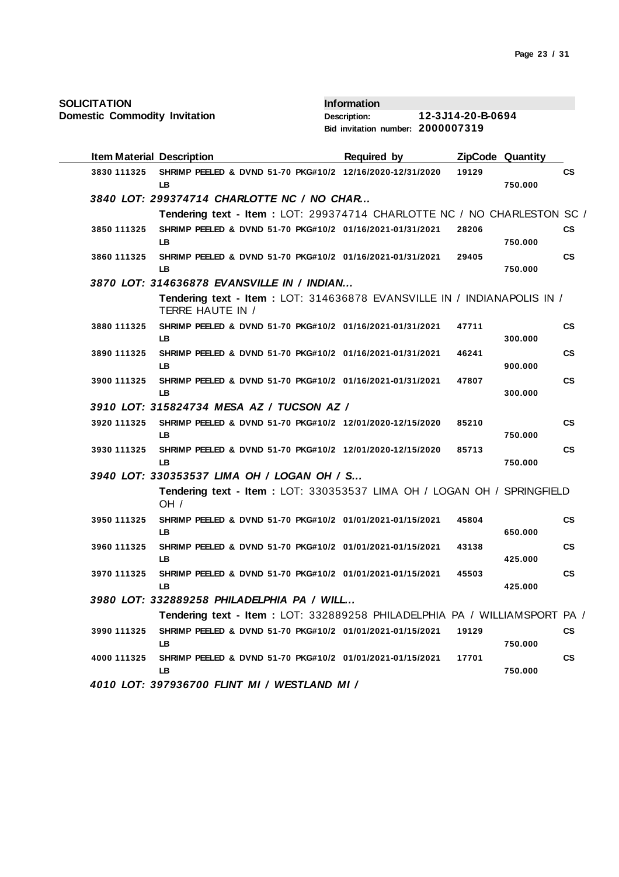**Domestic Commodity Invitation**

| <b>Item Material Description</b> |                                                                                             | <b>Required by</b> |       | ZipCode Quantity |               |
|----------------------------------|---------------------------------------------------------------------------------------------|--------------------|-------|------------------|---------------|
| 3830 111325                      | SHRIMP PEELED & DVND 51-70 PKG#10/2 12/16/2020-12/31/2020<br>LB.                            |                    | 19129 | 750.000          | СS            |
|                                  | 3840 LOT: 299374714 CHARLOTTE NC / NO CHAR                                                  |                    |       |                  |               |
|                                  | Tendering text - Item : LOT: 299374714 CHARLOTTE NC / NO CHARLESTON SC /                    |                    |       |                  |               |
| 3850 111325                      | SHRIMP PEELED & DVND 51-70 PKG#10/2 01/16/2021-01/31/2021<br>LB.                            |                    | 28206 | 750.000          | $\mathsf{cs}$ |
| 3860 111325                      | SHRIMP PEELED & DVND 51-70 PKG#10/2 01/16/2021-01/31/2021<br><b>LB</b>                      |                    | 29405 | 750.000          | <b>CS</b>     |
|                                  | 3870 LOT: 314636878 EVANSVILLE IN / INDIAN                                                  |                    |       |                  |               |
|                                  | Tendering text - Item: LOT: 314636878 EVANSVILLE IN / INDIANAPOLIS IN /<br>TERRE HAUTE IN / |                    |       |                  |               |
| 3880 111325                      | SHRIMP PEELED & DVND 51-70 PKG#10/2 01/16/2021-01/31/2021<br>LB.                            |                    | 47711 | 300.000          | $\mathsf{cs}$ |
| 3890 111325                      | SHRIMP PEELED & DVND 51-70 PKG#10/2 01/16/2021-01/31/2021<br>LB.                            |                    | 46241 | 900.000          | $\mathsf{cs}$ |
| 3900 111325                      | SHRIMP PEELED & DVND 51-70 PKG#10/2 01/16/2021-01/31/2021<br>LB.                            |                    | 47807 | 300.000          | $\mathsf{cs}$ |
|                                  | 3910 LOT: 315824734 MESA AZ / TUCSON AZ /                                                   |                    |       |                  |               |
| 3920 111325                      | SHRIMP PEELED & DVND 51-70 PKG#10/2 12/01/2020-12/15/2020<br>LB                             |                    | 85210 | 750.000          | <b>CS</b>     |
| 3930 111325                      | SHRIMP PEELED & DVND 51-70 PKG#10/2 12/01/2020-12/15/2020<br><b>LB</b>                      |                    | 85713 | 750.000          | <b>CS</b>     |
|                                  | 3940 LOT: 330353537 LIMA OH / LOGAN OH / S                                                  |                    |       |                  |               |
|                                  | Tendering text - Item : LOT: 330353537 LIMA OH / LOGAN OH / SPRINGFIELD<br>OH /             |                    |       |                  |               |
| 3950 111325                      | SHRIMP PEELED & DVND 51-70 PKG#10/2 01/01/2021-01/15/2021<br>LB.                            |                    | 45804 | 650.000          | <b>CS</b>     |
| 3960 111325                      | SHRIMP PEELED & DVND 51-70 PKG#10/2 01/01/2021-01/15/2021<br>LB                             |                    | 43138 | 425.000          | CS            |
| 3970 111325                      | SHRIMP PEELED & DVND 51-70 PKG#10/2 01/01/2021-01/15/2021<br><b>LB</b>                      |                    | 45503 | 425.000          | <b>CS</b>     |
|                                  | 3980 LOT: 332889258 PHILADELPHIA PA / WILL                                                  |                    |       |                  |               |
|                                  | Tendering text - Item : LOT: 332889258 PHILADELPHIA PA / WILLIAMSPORT PA /                  |                    |       |                  |               |
| 3990 111325                      | SHRIMP PEELED & DVND 51-70 PKG#10/2 01/01/2021-01/15/2021<br><b>LB</b>                      |                    | 19129 | 750.000          | <b>CS</b>     |
| 4000 111325                      | SHRIMP PEELED & DVND 51-70 PKG#10/2 01/01/2021-01/15/2021<br>LB.                            |                    | 17701 | 750.000          | <b>CS</b>     |
|                                  | 4010 LOT: 397936700 FLINT MI / WESTLAND MI /                                                |                    |       |                  |               |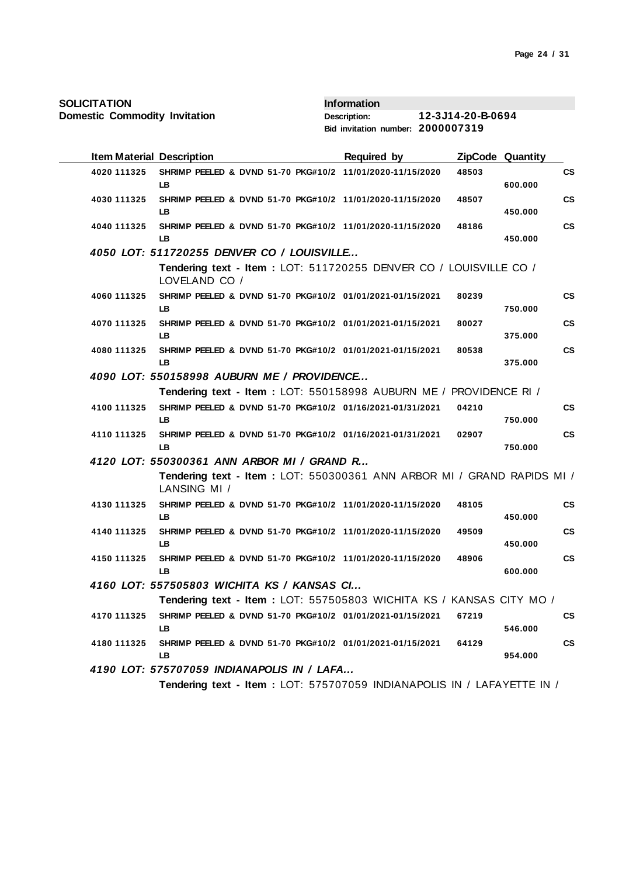| <b>SOLICITATION</b> |  |
|---------------------|--|
|---------------------|--|

|             | <b>Item Material Description</b>                                                        | <b>Required by</b> |       | ZipCode Quantity |           |
|-------------|-----------------------------------------------------------------------------------------|--------------------|-------|------------------|-----------|
| 4020 111325 | SHRIMP PEELED & DVND 51-70 PKG#10/2 11/01/2020-11/15/2020<br>LB.                        |                    | 48503 | 600.000          | <b>CS</b> |
| 4030 111325 | SHRIMP PEELED & DVND 51-70 PKG#10/2 11/01/2020-11/15/2020<br>LB.                        |                    | 48507 | 450.000          | <b>CS</b> |
| 4040 111325 | SHRIMP PEELED & DVND 51-70 PKG#10/2 11/01/2020-11/15/2020<br>LB                         |                    | 48186 | 450.000          | <b>CS</b> |
|             | 4050 LOT: 511720255 DENVER CO / LOUISVILLE                                              |                    |       |                  |           |
|             | Tendering text - Item: LOT: 511720255 DENVER CO / LOUISVILLE CO /<br>LOVELAND CO /      |                    |       |                  |           |
| 4060 111325 | SHRIMP PEELED & DVND 51-70 PKG#10/2 01/01/2021-01/15/2021<br>LB.                        |                    | 80239 | 750.000          | <b>CS</b> |
| 4070 111325 | SHRIMP PEELED & DVND 51-70 PKG#10/2 01/01/2021-01/15/2021<br>LB.                        |                    | 80027 | 375.000          | <b>CS</b> |
| 4080 111325 | SHRIMP PEELED & DVND 51-70 PKG#10/2 01/01/2021-01/15/2021<br><b>LB</b>                  |                    | 80538 | 375.000          | <b>CS</b> |
|             | 4090 LOT: 550158998 AUBURN ME / PROVIDENCE                                              |                    |       |                  |           |
|             | Tendering text - Item: LOT: 550158998 AUBURN ME / PROVIDENCE RI /                       |                    |       |                  |           |
| 4100 111325 | SHRIMP PEELED & DVND 51-70 PKG#10/2 01/16/2021-01/31/2021<br>LB.                        |                    | 04210 | 750.000          | <b>CS</b> |
| 4110 111325 | SHRIMP PEELED & DVND 51-70 PKG#10/2 01/16/2021-01/31/2021<br>LB.                        |                    | 02907 | 750.000          | <b>CS</b> |
|             | 4120 LOT: 550300361 ANN ARBOR MI / GRAND R                                              |                    |       |                  |           |
|             | Tendering text - Item : LOT: 550300361 ANN ARBOR MI / GRAND RAPIDS MI /<br>LANSING MI / |                    |       |                  |           |
| 4130 111325 | SHRIMP PEELED & DVND 51-70 PKG#10/2 11/01/2020-11/15/2020<br>LB.                        |                    | 48105 | 450.000          | <b>CS</b> |
| 4140 111325 | SHRIMP PEELED & DVND 51-70 PKG#10/2 11/01/2020-11/15/2020<br><b>LB</b>                  |                    | 49509 | 450.000          | <b>CS</b> |
| 4150 111325 | SHRIMP PEELED & DVND 51-70 PKG#10/2 11/01/2020-11/15/2020<br>LB.                        |                    | 48906 | 600.000          | <b>CS</b> |
|             | 4160 LOT: 557505803 WICHITA KS / KANSAS CI                                              |                    |       |                  |           |
|             | Tendering text - Item : LOT: 557505803 WICHITA KS / KANSAS CITY MO /                    |                    |       |                  |           |
| 4170 111325 | SHRIMP PEELED & DVND 51-70 PKG#10/2 01/01/2021-01/15/2021<br>LB.                        |                    | 67219 | 546.000          | <b>CS</b> |
| 4180 111325 | SHRIMP PEELED & DVND 51-70 PKG#10/2 01/01/2021-01/15/2021<br>LB.                        |                    | 64129 | 954.000          | <b>CS</b> |
|             | 4190 LOT: 575707059 INDIANAPOLIS IN / LAFA                                              |                    |       |                  |           |
|             | Tendering text - Item : LOT: 575707059 INDIANAPOLIS IN / LAFAYETTE IN /                 |                    |       |                  |           |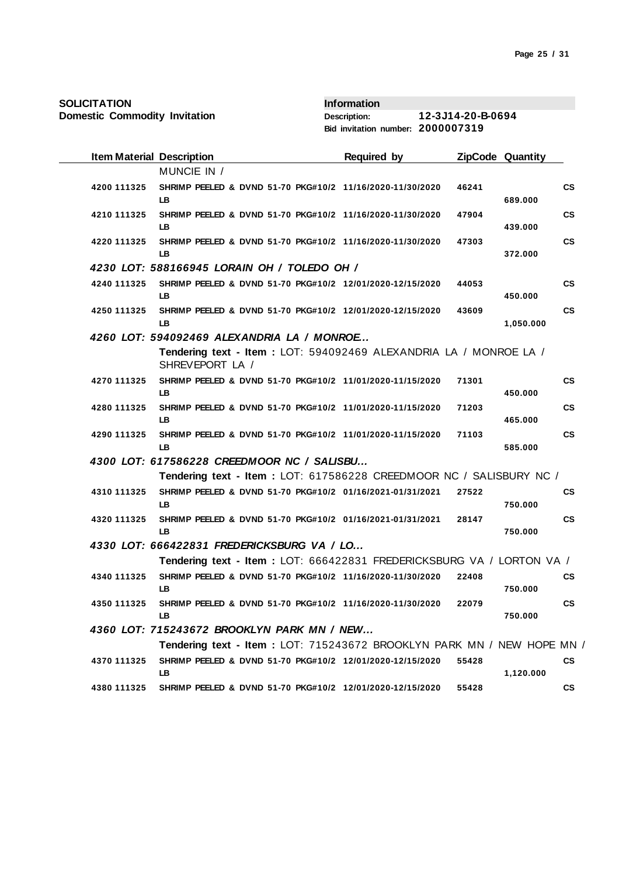| <b>SOLICITATION</b>                  |                                                                                      | <b>Information</b>                |                   |                                     |
|--------------------------------------|--------------------------------------------------------------------------------------|-----------------------------------|-------------------|-------------------------------------|
| <b>Domestic Commodity Invitation</b> |                                                                                      | <b>Description:</b>               | 12-3J14-20-B-0694 |                                     |
|                                      |                                                                                      | Bid invitation number: 2000007319 |                   |                                     |
| <b>Item Material Description</b>     |                                                                                      | Required by                       |                   | <b>ZipCode Quantity</b>             |
|                                      | MUNCIE IN /                                                                          |                                   |                   |                                     |
| 4200 111325                          | SHRIMP PEELED & DVND 51-70 PKG#10/2 11/16/2020-11/30/2020<br>LB                      |                                   | 46241             | CS<br>689.000                       |
| 4210 111325                          | SHRIMP PEELED & DVND 51-70 PKG#10/2 11/16/2020-11/30/2020<br>LB                      |                                   | 47904             | $\mathsf{cs}$<br>439.000            |
| 4220 111325                          | SHRIMP PEELED & DVND 51-70 PKG#10/2 11/16/2020-11/30/2020<br>LB                      |                                   | 47303             | <b>CS</b><br>372.000                |
|                                      | 4230 LOT: 588166945 LORAIN OH / TOLEDO OH /                                          |                                   |                   |                                     |
| 4240 111325                          | SHRIMP PEELED & DVND 51-70 PKG#10/2 12/01/2020-12/15/2020<br>LB                      |                                   | 44053             | $\mathsf{cs}$<br>450.000            |
| 4250 111325                          | SHRIMP PEELED & DVND 51-70 PKG#10/2 12/01/2020-12/15/2020<br>LB                      |                                   | 43609             | <b>CS</b><br>1,050.000              |
|                                      | 4260 LOT: 594092469 ALEXANDRIA LA / MONROE                                           |                                   |                   |                                     |
|                                      | Tendering text - Item: LOT: 594092469 ALEXANDRIA LA / MONROE LA /<br>SHREVEPORT LA / |                                   |                   |                                     |
| 4270 111325                          | SHRIMP PEELED & DVND 51-70 PKG#10/2 11/01/2020-11/15/2020<br>LB                      |                                   | 71301             | $\mathsf{cs}$<br>450.000            |
| 4280 111325                          | SHRIMP PEELED & DVND 51-70 PKG#10/2 11/01/2020-11/15/2020<br>LB                      |                                   | 71203             | СS<br>465.000                       |
| 4290 111325                          | SHRIMP PEELED & DVND 51-70 PKG#10/2 11/01/2020-11/15/2020<br>LB                      |                                   | 71103             | $\mathsf{cs}$<br>585.000            |
|                                      | 4300 LOT: 617586228 CREEDMOOR NC / SALISBU                                           |                                   |                   |                                     |
|                                      | Tendering text - Item: LOT: 617586228 CREEDMOOR NC / SALISBURY NC /                  |                                   |                   |                                     |
| 4310 111325                          | SHRIMP PEELED & DVND 51-70 PKG#10/2 01/16/2021-01/31/2021<br>LB                      |                                   | 27522             | СS<br>750.000                       |
| 4320 111325                          | SHRIMP PEELED & DVND 51-70 PKG#10/2 01/16/2021-01/31/2021<br>LB                      |                                   | 28147             | $\mathbf{c}\mathbf{s}$<br>750.000   |
|                                      | 4330 LOT: 666422831 FREDERICKSBURG VA / LO                                           |                                   |                   |                                     |
|                                      | Tendering text - Item : LOT: 666422831 FREDERICKSBURG VA / LORTON VA /               |                                   |                   |                                     |
| 4340 111325                          | SHRIMP PEELED & DVND 51-70 PKG#10/2 11/16/2020-11/30/2020<br>LB                      |                                   | 22408             | СS<br>750.000                       |
| 4350 111325                          | SHRIMP PEELED & DVND 51-70 PKG#10/2 11/16/2020-11/30/2020<br>LB.                     |                                   | 22079             | $\mathsf{CS}\phantom{0}$<br>750.000 |
|                                      | 4360 LOT: 715243672 BROOKLYN PARK MN / NEW                                           |                                   |                   |                                     |
|                                      | Tendering text - Item: LOT: 715243672 BROOKLYN PARK MN / NEW HOPE MN /               |                                   |                   |                                     |
| 4370 111325                          | SHRIMP PEELED & DVND 51-70 PKG#10/2 12/01/2020-12/15/2020<br>LB.                     |                                   | 55428             | СS<br>1,120.000                     |
| 4380 111325                          | SHRIMP PEELED & DVND 51-70 PKG#10/2 12/01/2020-12/15/2020                            |                                   | 55428             | $\mathsf{cs}$                       |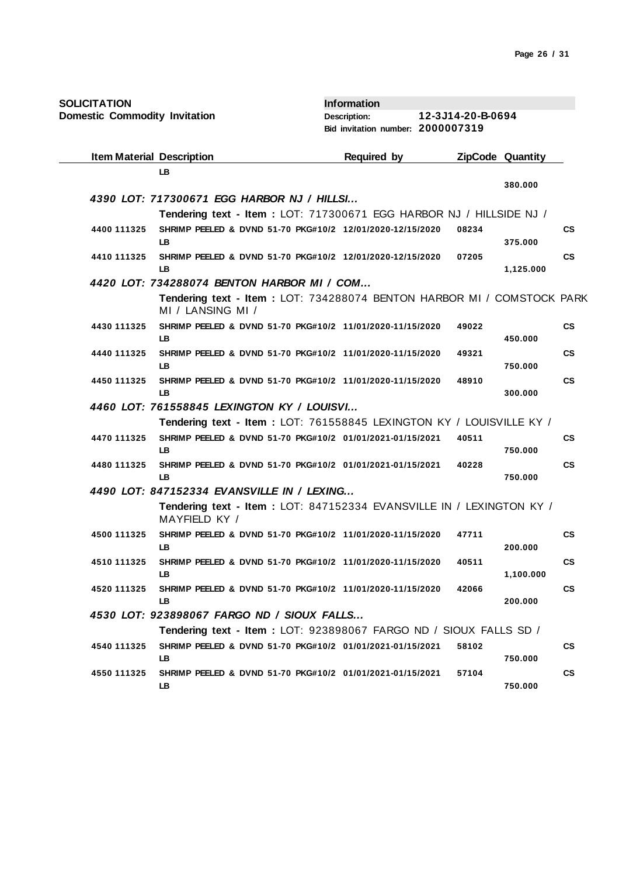| <b>SOLICITATION</b> |
|---------------------|
|---------------------|

| <b>SOLICITATION</b>                  |                                                                                             | <b>Information</b>                |                   |                         |                        |
|--------------------------------------|---------------------------------------------------------------------------------------------|-----------------------------------|-------------------|-------------------------|------------------------|
| <b>Domestic Commodity Invitation</b> |                                                                                             | <b>Description:</b>               | 12-3J14-20-B-0694 |                         |                        |
|                                      |                                                                                             | Bid invitation number: 2000007319 |                   |                         |                        |
| <b>Item Material Description</b>     |                                                                                             | Required by                       |                   | <b>ZipCode Quantity</b> |                        |
|                                      | <b>LB</b>                                                                                   |                                   |                   | 380.000                 |                        |
|                                      | 4390 LOT: 717300671 EGG HARBOR NJ / HILLSI                                                  |                                   |                   |                         |                        |
|                                      | Tendering text - Item: LOT: 717300671 EGG HARBOR NJ / HILLSIDE NJ /                         |                                   |                   |                         |                        |
| 4400 111325                          | SHRIMP PEELED & DVND 51-70 PKG#10/2 12/01/2020-12/15/2020<br>LB.                            |                                   | 08234             | 375.000                 | <b>CS</b>              |
| 4410 111325                          | SHRIMP PEELED & DVND 51-70 PKG#10/2 12/01/2020-12/15/2020<br>LB                             |                                   | 07205             | 1,125.000               | $\mathbf{c}\mathbf{s}$ |
|                                      | 4420 LOT: 734288074 BENTON HARBOR MI / COM                                                  |                                   |                   |                         |                        |
|                                      | Tendering text - Item: LOT: 734288074 BENTON HARBOR MI / COMSTOCK PARK<br>MI / LANSING MI / |                                   |                   |                         |                        |
| 4430 111325                          | SHRIMP PEELED & DVND 51-70 PKG#10/2 11/01/2020-11/15/2020<br>LB                             |                                   | 49022             | 450.000                 | <b>CS</b>              |
| 4440 111325                          | SHRIMP PEELED & DVND 51-70 PKG#10/2 11/01/2020-11/15/2020<br>LB.                            |                                   | 49321             | 750.000                 | $\mathbf{c}\mathbf{s}$ |
| 4450 111325                          | SHRIMP PEELED & DVND 51-70 PKG#10/2 11/01/2020-11/15/2020<br>LB                             |                                   | 48910             | 300.000                 | $\mathbf{c}\mathbf{s}$ |
|                                      | 4460 LOT: 761558845 LEXINGTON KY / LOUISVI                                                  |                                   |                   |                         |                        |
|                                      | Tendering text - Item : LOT: 761558845 LEXINGTON KY / LOUISVILLE KY /                       |                                   |                   |                         |                        |
| 4470 111325                          | SHRIMP PEELED & DVND 51-70 PKG#10/2 01/01/2021-01/15/2021<br>LB                             |                                   | 40511             | 750.000                 | CS                     |
| 4480 111325                          | SHRIMP PEELED & DVND 51-70 PKG#10/2 01/01/2021-01/15/2021<br>LB                             |                                   | 40228             | 750.000                 | $\mathbf{c}\mathbf{s}$ |
|                                      | 4490 LOT: 847152334 EVANSVILLE IN / LEXING                                                  |                                   |                   |                         |                        |
|                                      | Tendering text - Item: LOT: 847152334 EVANSVILLE IN / LEXINGTON KY /<br>MAYFIELD KY /       |                                   |                   |                         |                        |
| 4500 111325                          | SHRIMP PEELED & DVND 51-70 PKG#10/2 11/01/2020-11/15/2020<br>LB                             |                                   | 47711             | 200.000                 | <b>CS</b>              |
| 4510 111325                          | SHRIMP PEELED & DVND 51-70 PKG#10/2 11/01/2020-11/15/2020<br>LВ                             |                                   | 40511             | 1,100.000               | $\mathbf{c}\mathbf{s}$ |
| 4520 111325                          | SHRIMP PEELED & DVND 51-70 PKG#10/2 11/01/2020-11/15/2020<br>LB                             |                                   | 42066             | 200.000                 | СS                     |
|                                      | 4530 LOT: 923898067 FARGO ND / SIOUX FALLS                                                  |                                   |                   |                         |                        |
|                                      | Tendering text - Item: LOT: 923898067 FARGO ND / SIOUX FALLS SD /                           |                                   |                   |                         |                        |
| 4540 111325                          | SHRIMP PEELED & DVND 51-70 PKG#10/2 01/01/2021-01/15/2021<br>LB                             |                                   | 58102             | 750.000                 | <b>CS</b>              |
| 4550 111325                          | SHRIMP PEELED & DVND 51-70 PKG#10/2 01/01/2021-01/15/2021<br>LB.                            |                                   | 57104             | 750.000                 | СS                     |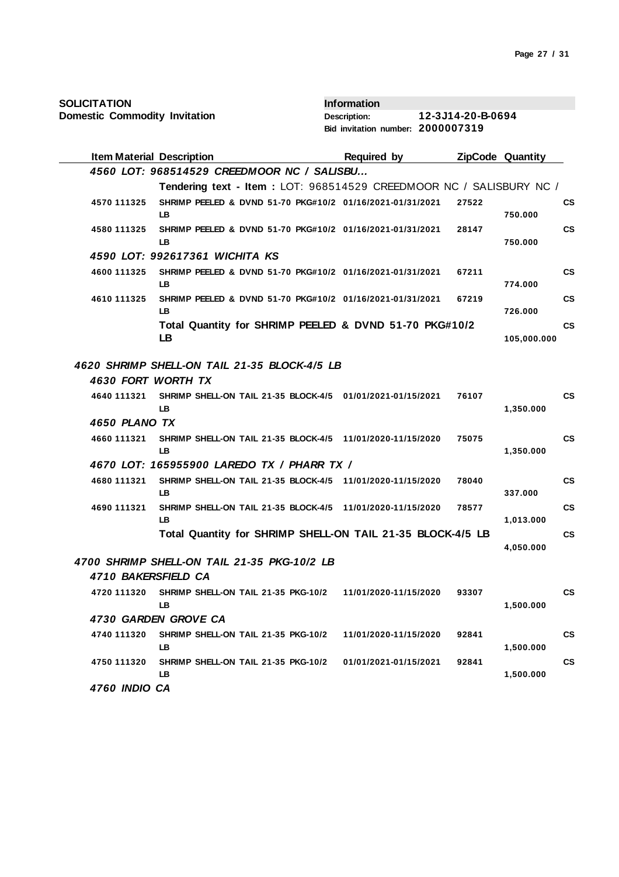| <b>SOLICITATION</b>                  |                                                                         | <b>Information</b>                |                   |                         |               |
|--------------------------------------|-------------------------------------------------------------------------|-----------------------------------|-------------------|-------------------------|---------------|
| <b>Domestic Commodity Invitation</b> |                                                                         | <b>Description:</b>               | 12-3J14-20-B-0694 |                         |               |
|                                      |                                                                         | Bid invitation number: 2000007319 |                   |                         |               |
| <b>Item Material Description</b>     |                                                                         | Required by                       |                   | <b>ZipCode Quantity</b> |               |
|                                      | 4560 LOT: 968514529 CREEDMOOR NC / SALISBU                              |                                   |                   |                         |               |
|                                      | Tendering text - Item: LOT: 968514529 CREEDMOOR NC / SALISBURY NC /     |                                   |                   |                         |               |
| 4570 111325                          | SHRIMP PEELED & DVND 51-70 PKG#10/2 01/16/2021-01/31/2021<br>LB         |                                   | 27522             | 750.000                 | <b>CS</b>     |
| 4580 111325                          | SHRIMP PEELED & DVND 51-70 PKG#10/2 01/16/2021-01/31/2021<br>LB         |                                   | 28147             | 750.000                 | $\mathsf{cs}$ |
|                                      | 4590 LOT: 992617361 WICHITA KS                                          |                                   |                   |                         |               |
| 4600 111325                          | SHRIMP PEELED & DVND 51-70 PKG#10/2 01/16/2021-01/31/2021<br>LB.        |                                   | 67211             | 774.000                 | $\mathsf{cs}$ |
| 4610 111325                          | SHRIMP PEELED & DVND 51-70 PKG#10/2 01/16/2021-01/31/2021<br>LB.        |                                   | 67219             | 726.000                 | $\mathsf{cs}$ |
|                                      | Total Quantity for SHRIMP PEELED & DVND 51-70 PKG#10/2<br>LB            |                                   |                   | 105,000.000             | $\mathsf{cs}$ |
|                                      | 4620 SHRIMP SHELL-ON TAIL 21-35 BLOCK-4/5 LB                            |                                   |                   |                         |               |
| 4630 FORT WORTH TX                   |                                                                         |                                   |                   |                         |               |
| 4640 111321                          | SHRIMP SHELL-ON TAIL 21-35 BLOCK-4/5 01/01/2021-01/15/2021<br>LB.       |                                   | 76107             | 1,350.000               | <b>CS</b>     |
| 4650 PLANO TX                        |                                                                         |                                   |                   |                         |               |
| 4660 111321                          | SHRIMP SHELL-ON TAIL 21-35 BLOCK-4/5 11/01/2020-11/15/2020<br><b>LB</b> |                                   | 75075             | 1,350.000               | $\mathsf{cs}$ |
|                                      | 4670 LOT: 165955900 LAREDO TX / PHARR TX /                              |                                   |                   |                         |               |
| 4680 111321                          | SHRIMP SHELL-ON TAIL 21-35 BLOCK-4/5 11/01/2020-11/15/2020<br>LB.       |                                   | 78040             | 337.000                 | $\mathsf{cs}$ |
| 4690 111321                          | SHRIMP SHELL-ON TAIL 21-35 BLOCK-4/5 11/01/2020-11/15/2020<br>LB.       |                                   | 78577             | 1,013.000               | $\mathsf{cs}$ |
|                                      | Total Quantity for SHRIMP SHELL-ON TAIL 21-35 BLOCK-4/5 LB              |                                   |                   |                         | $\mathsf{cs}$ |
|                                      |                                                                         |                                   |                   | 4,050.000               |               |
|                                      | 4700 SHRIMP SHELL-ON TAIL 21-35 PKG-10/2 LB                             |                                   |                   |                         |               |
| 4710 BAKERSFIELD CA                  |                                                                         |                                   |                   |                         |               |
| 4720 111320                          | SHRIMP SHELL-ON TAIL 21-35 PKG-10/2<br>LB.                              | 11/01/2020-11/15/2020             | 93307             | 1,500.000               | <b>CS</b>     |
|                                      | 4730 GARDEN GROVE CA                                                    |                                   |                   |                         |               |
| 4740 111320                          | SHRIMP SHELL-ON TAIL 21-35 PKG-10/2<br>LB                               | 11/01/2020-11/15/2020             | 92841             | 1,500.000               | $\mathsf{cs}$ |
| 4750 111320                          | SHRIMP SHELL-ON TAIL 21-35 PKG-10/2<br>LB.                              | 01/01/2021-01/15/2021             | 92841             | 1,500.000               | $\mathsf{cs}$ |
| 4760 INDIO CA                        |                                                                         |                                   |                   |                         |               |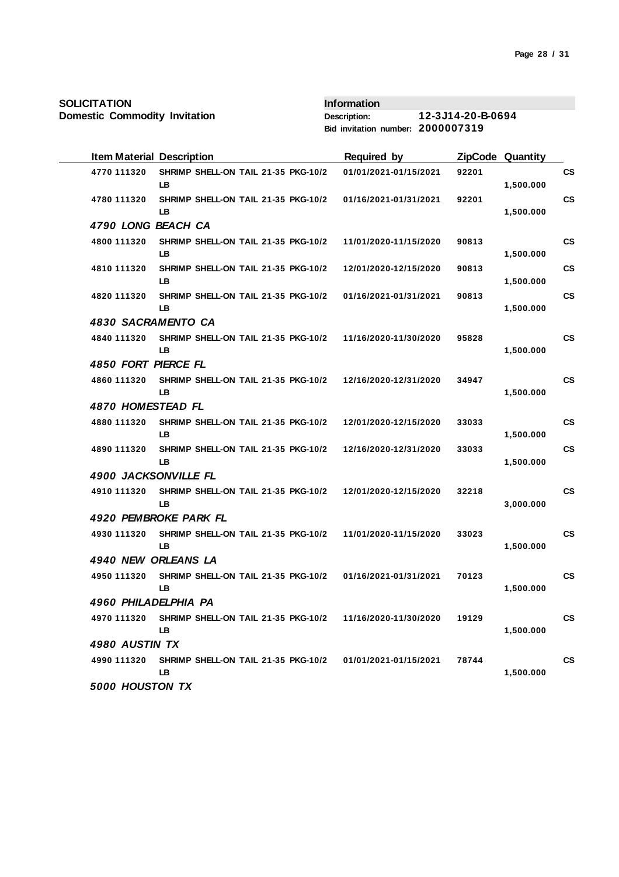**Domestic Commodity Invitation**

| <b>Item Material Description</b> |                                                  | <b>Required by</b>    |       | <b>ZipCode Quantity</b> |           |
|----------------------------------|--------------------------------------------------|-----------------------|-------|-------------------------|-----------|
| 4770 111320                      | SHRIMP SHELL-ON TAIL 21-35 PKG-10/2<br><b>LB</b> | 01/01/2021-01/15/2021 | 92201 | 1,500.000               | <b>CS</b> |
| 4780 111320                      | SHRIMP SHELL-ON TAIL 21-35 PKG-10/2<br>LВ        | 01/16/2021-01/31/2021 | 92201 | 1,500.000               | <b>CS</b> |
| 4790 LONG BEACH CA               |                                                  |                       |       |                         |           |
| 4800 111320                      | SHRIMP SHELL-ON TAIL 21-35 PKG-10/2<br>LB.       | 11/01/2020-11/15/2020 | 90813 | 1,500.000               | <b>CS</b> |
| 4810 111320                      | SHRIMP SHELL-ON TAIL 21-35 PKG-10/2<br>LB        | 12/01/2020-12/15/2020 | 90813 | 1,500.000               | <b>CS</b> |
| 4820 111320                      | SHRIMP SHELL-ON TAIL 21-35 PKG-10/2<br>LB        | 01/16/2021-01/31/2021 | 90813 | 1,500.000               | <b>CS</b> |
| 4830 SACRAMENTO CA               |                                                  |                       |       |                         |           |
| 4840 111320                      | SHRIMP SHELL-ON TAIL 21-35 PKG-10/2<br>LB        | 11/16/2020-11/30/2020 | 95828 | 1,500.000               | <b>CS</b> |
| 4850 FORT PIERCE FL              |                                                  |                       |       |                         |           |
| 4860 111320                      | SHRIMP SHELL-ON TAIL 21-35 PKG-10/2<br>LB        | 12/16/2020-12/31/2020 | 34947 | 1,500.000               | <b>CS</b> |
| 4870 HOMESTEAD FL                |                                                  |                       |       |                         |           |
| 4880 111320                      | SHRIMP SHELL-ON TAIL 21-35 PKG-10/2<br><b>LB</b> | 12/01/2020-12/15/2020 | 33033 | 1,500.000               | <b>CS</b> |
| 4890 111320                      | SHRIMP SHELL-ON TAIL 21-35 PKG-10/2<br>LB        | 12/16/2020-12/31/2020 | 33033 | 1,500.000               | <b>CS</b> |
| <b>4900 JACKSONVILLE FL</b>      |                                                  |                       |       |                         |           |
| 4910 111320                      | SHRIMP SHELL-ON TAIL 21-35 PKG-10/2<br>LB        | 12/01/2020-12/15/2020 | 32218 | 3,000.000               | <b>CS</b> |
|                                  | 4920 PEMBROKE PARK FL                            |                       |       |                         |           |
| 4930 111320                      | SHRIMP SHELL-ON TAIL 21-35 PKG-10/2<br>LВ        | 11/01/2020-11/15/2020 | 33023 | 1,500.000               | <b>CS</b> |
| 4940 NEW ORLEANS LA              |                                                  |                       |       |                         |           |
| 4950 111320                      | SHRIMP SHELL-ON TAIL 21-35 PKG-10/2<br>LB        | 01/16/2021-01/31/2021 | 70123 | 1,500.000               | <b>CS</b> |
| 4960 PHILADELPHIA PA             |                                                  |                       |       |                         |           |
| 4970 111320                      | SHRIMP SHELL-ON TAIL 21-35 PKG-10/2<br>LB.       | 11/16/2020-11/30/2020 | 19129 | 1,500.000               | <b>CS</b> |
| 4980 AUSTIN TX                   |                                                  |                       |       |                         |           |
| 4990 111320                      | SHRIMP SHELL-ON TAIL 21-35 PKG-10/2<br>LB.       | 01/01/2021-01/15/2021 | 78744 | 1,500.000               | <b>CS</b> |
| 5000 HOUSTON TX                  |                                                  |                       |       |                         |           |
|                                  |                                                  |                       |       |                         |           |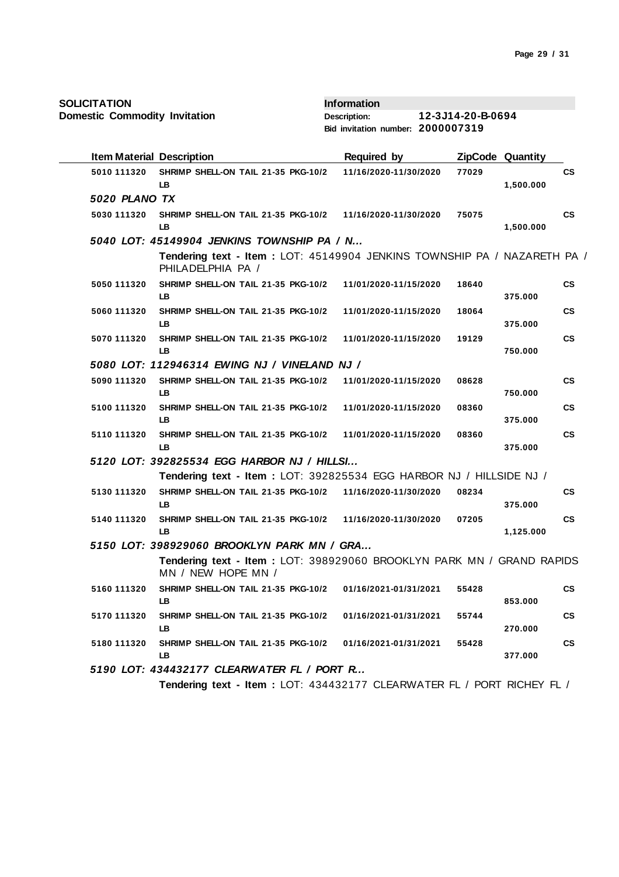| <b>SOLICITATION</b> |  |
|---------------------|--|
|---------------------|--|

|               | <b>Item Material Description</b>                                                               | <b>Required by</b>    |       | ZipCode Quantity |               |
|---------------|------------------------------------------------------------------------------------------------|-----------------------|-------|------------------|---------------|
| 5010 111320   | SHRIMP SHELL-ON TAIL 21-35 PKG-10/2<br>LB.                                                     | 11/16/2020-11/30/2020 | 77029 | 1,500.000        | СS            |
| 5020 PLANO TX |                                                                                                |                       |       |                  |               |
| 5030 111320   | SHRIMP SHELL-ON TAIL 21-35 PKG-10/2<br>LB.                                                     | 11/16/2020-11/30/2020 | 75075 | 1,500.000        | $\mathsf{cs}$ |
|               | 5040 LOT: 45149904 JENKINS TOWNSHIP PA / N                                                     |                       |       |                  |               |
|               | Tendering text - Item : LOT: 45149904 JENKINS TOWNSHIP PA / NAZARETH PA /<br>PHILADELPHIA PA / |                       |       |                  |               |
| 5050 111320   | SHRIMP SHELL-ON TAIL 21-35 PKG-10/2<br>LB.                                                     | 11/01/2020-11/15/2020 | 18640 | 375.000          | <b>CS</b>     |
| 5060 111320   | SHRIMP SHELL-ON TAIL 21-35 PKG-10/2<br>LB                                                      | 11/01/2020-11/15/2020 | 18064 | 375.000          | <b>CS</b>     |
| 5070 111320   | SHRIMP SHELL-ON TAIL 21-35 PKG-10/2<br>LB.                                                     | 11/01/2020-11/15/2020 | 19129 | 750.000          | CS            |
|               | 5080 LOT: 112946314 EWING NJ / VINELAND NJ /                                                   |                       |       |                  |               |
| 5090 111320   | SHRIMP SHELL-ON TAIL 21-35 PKG-10/2<br>LB.                                                     | 11/01/2020-11/15/2020 | 08628 | 750.000          | <b>CS</b>     |
| 5100 111320   | SHRIMP SHELL-ON TAIL 21-35 PKG-10/2<br>IB.                                                     | 11/01/2020-11/15/2020 | 08360 | 375.000          | <b>CS</b>     |
| 5110 111320   | SHRIMP SHELL-ON TAIL 21-35 PKG-10/2<br>LB.                                                     | 11/01/2020-11/15/2020 | 08360 | 375.000          | <b>CS</b>     |
|               | 5120 LOT: 392825534 EGG HARBOR NJ / HILLSI                                                     |                       |       |                  |               |
|               | Tendering text - Item: LOT: 392825534 EGG HARBOR NJ / HILLSIDE NJ /                            |                       |       |                  |               |
| 5130 111320   | SHRIMP SHELL-ON TAIL 21-35 PKG-10/2<br>LB.                                                     | 11/16/2020-11/30/2020 | 08234 | 375.000          | <b>CS</b>     |
| 5140 111320   | SHRIMP SHELL-ON TAIL 21-35 PKG-10/2<br>LB                                                      | 11/16/2020-11/30/2020 | 07205 | 1,125.000        | <b>CS</b>     |
|               | 5150 LOT: 398929060 BROOKLYN PARK MN / GRA                                                     |                       |       |                  |               |
|               | Tendering text - Item : LOT: 398929060 BROOKLYN PARK MN / GRAND RAPIDS<br>MN / NEW HOPE MN /   |                       |       |                  |               |
| 5160 111320   | SHRIMP SHELL-ON TAIL 21-35 PKG-10/2<br>LB.                                                     | 01/16/2021-01/31/2021 | 55428 | 853.000          | $\mathsf{cs}$ |
| 5170 111320   | SHRIMP SHELL-ON TAIL 21-35 PKG-10/2<br><b>LB</b>                                               | 01/16/2021-01/31/2021 | 55744 | 270.000          | <b>CS</b>     |
|               |                                                                                                |                       |       |                  | $\mathsf{cs}$ |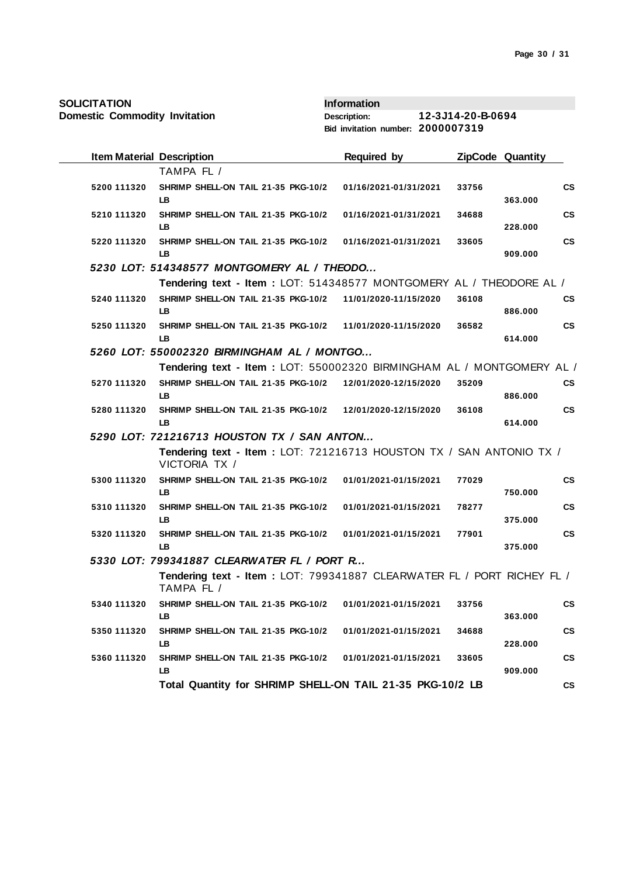| <b>SOLICITATION</b>                  |                                                                                      | <b>Information</b>                |                   |       |                         |                        |
|--------------------------------------|--------------------------------------------------------------------------------------|-----------------------------------|-------------------|-------|-------------------------|------------------------|
| <b>Domestic Commodity Invitation</b> |                                                                                      | <b>Description:</b>               | 12-3J14-20-B-0694 |       |                         |                        |
|                                      |                                                                                      | Bid invitation number: 2000007319 |                   |       |                         |                        |
| <b>Item Material Description</b>     |                                                                                      | <b>Required by</b>                |                   |       | <b>ZipCode Quantity</b> |                        |
|                                      | TAMPA FL /                                                                           |                                   |                   |       |                         |                        |
| 5200 111320                          | SHRIMP SHELL-ON TAIL 21-35 PKG-10/2                                                  | 01/16/2021-01/31/2021             |                   | 33756 |                         | $\mathbf{c}\mathbf{s}$ |
|                                      | LB                                                                                   |                                   |                   |       | 363.000                 |                        |
| 5210 111320                          | SHRIMP SHELL-ON TAIL 21-35 PKG-10/2<br>LB                                            | 01/16/2021-01/31/2021             |                   | 34688 | 228.000                 | $\mathsf{cs}$          |
| 5220 111320                          | SHRIMP SHELL-ON TAIL 21-35 PKG-10/2<br><b>LB</b>                                     | 01/16/2021-01/31/2021             |                   | 33605 | 909.000                 | <b>CS</b>              |
|                                      | 5230 LOT: 514348577 MONTGOMERY AL / THEODO                                           |                                   |                   |       |                         |                        |
|                                      | Tendering text - Item: LOT: 514348577 MONTGOMERY AL / THEODORE AL /                  |                                   |                   |       |                         |                        |
| 5240 111320                          | SHRIMP SHELL-ON TAIL 21-35 PKG-10/2 11/01/2020-11/15/2020                            |                                   |                   | 36108 |                         | $\mathbf{c}\mathbf{s}$ |
|                                      | LB.                                                                                  |                                   |                   |       | 886,000                 |                        |
| 5250 111320                          | SHRIMP SHELL-ON TAIL 21-35 PKG-10/2 11/01/2020-11/15/2020                            |                                   |                   | 36582 |                         | $\mathsf{cs}$          |
|                                      | LB                                                                                   |                                   |                   |       | 614.000                 |                        |
|                                      | 5260 LOT: 550002320 BIRMINGHAM AL / MONTGO                                           |                                   |                   |       |                         |                        |
|                                      | Tendering text - Item: LOT: 550002320 BIRMINGHAM AL / MONTGOMERY AL /                |                                   |                   |       |                         |                        |
| 5270 111320                          | SHRIMP SHELL-ON TAIL 21-35 PKG-10/2                                                  | 12/01/2020-12/15/2020             |                   | 35209 |                         | <b>CS</b>              |
|                                      | LB                                                                                   |                                   |                   |       | 886.000                 |                        |
| 5280 111320                          | SHRIMP SHELL-ON TAIL 21-35 PKG-10/2 12/01/2020-12/15/2020<br><b>LB</b>               |                                   |                   | 36108 |                         | $\mathsf{cs}$          |
|                                      | 5290 LOT: 721216713 HOUSTON TX / SAN ANTON                                           |                                   |                   |       | 614.000                 |                        |
|                                      | Tendering text - Item : LOT: 721216713 HOUSTON TX / SAN ANTONIO TX /                 |                                   |                   |       |                         |                        |
|                                      | VICTORIA TX /                                                                        |                                   |                   |       |                         |                        |
| 5300 111320                          | SHRIMP SHELL-ON TAIL 21-35 PKG-10/2                                                  | 01/01/2021-01/15/2021             |                   | 77029 |                         | $\mathsf{cs}$          |
|                                      | LB.                                                                                  |                                   |                   |       | 750.000                 |                        |
| 5310 111320                          | SHRIMP SHELL-ON TAIL 21-35 PKG-10/2<br>LB                                            | 01/01/2021-01/15/2021             |                   | 78277 | 375.000                 | $\mathbf{c}\mathbf{s}$ |
| 5320 111320                          | SHRIMP SHELL-ON TAIL 21-35 PKG-10/2                                                  | 01/01/2021-01/15/2021             |                   | 77901 |                         | $\mathsf{cs}$          |
|                                      | LB                                                                                   |                                   |                   |       | 375.000                 |                        |
|                                      | 5330 LOT: 799341887 CLEARWATER FL / PORT R                                           |                                   |                   |       |                         |                        |
|                                      | Tendering text - Item: LOT: 799341887 CLEARWATER FL / PORT RICHEY FL /<br>TAMPA FL / |                                   |                   |       |                         |                        |
| 5340 111320                          | SHRIMP SHELL-ON TAIL 21-35 PKG-10/2                                                  | 01/01/2021-01/15/2021             |                   | 33756 |                         | СS                     |
|                                      | LB.                                                                                  |                                   |                   |       | 363.000                 |                        |
| 5350 111320                          | SHRIMP SHELL-ON TAIL 21-35 PKG-10/2                                                  | 01/01/2021-01/15/2021             |                   | 34688 |                         | $\mathsf{cs}$          |
|                                      | LB.                                                                                  |                                   |                   |       | 228.000                 |                        |
| 5360 111320                          | SHRIMP SHELL-ON TAIL 21-35 PKG-10/2<br>LB                                            | 01/01/2021-01/15/2021             |                   | 33605 | 909.000                 | $\mathsf{cs}$          |
|                                      | Total Quantity for SHRIMP SHELL-ON TAIL 21-35 PKG-10/2 LB                            |                                   |                   |       |                         | $\mathsf{cs}$          |